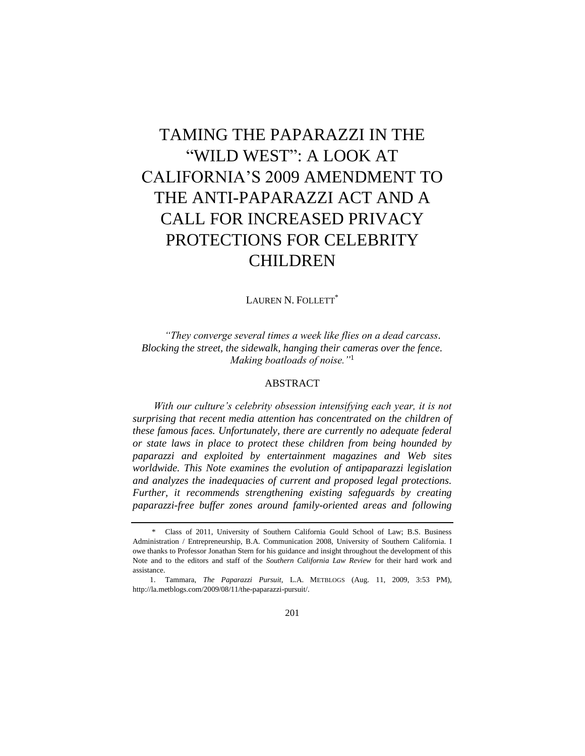# TAMING THE PAPARAZZI IN THE "WILD WEST": A LOOK AT CALIFORNIA'S 2009 AMENDMENT TO THE ANTI-PAPARAZZI ACT AND A CALL FOR INCREASED PRIVACY PROTECTIONS FOR CELEBRITY CHILDREN

LAUREN N. FOLLETT<sup>\*</sup>

*―They converge several times a week like flies on a dead carcass. Blocking the street, the sidewalk, hanging their cameras over the fence. Making boatloads of noise.*"<sup>1</sup>

## ABSTRACT

*With our culture's celebrity obsession intensifying each year, it is not surprising that recent media attention has concentrated on the children of these famous faces. Unfortunately, there are currently no adequate federal or state laws in place to protect these children from being hounded by paparazzi and exploited by entertainment magazines and Web sites worldwide. This Note examines the evolution of antipaparazzi legislation and analyzes the inadequacies of current and proposed legal protections. Further, it recommends strengthening existing safeguards by creating paparazzi-free buffer zones around family-oriented areas and following* 

<sup>\*</sup> Class of 2011, University of Southern California Gould School of Law; B.S. Business Administration / Entrepreneurship, B.A. Communication 2008, University of Southern California. I owe thanks to Professor Jonathan Stern for his guidance and insight throughout the development of this Note and to the editors and staff of the *Southern California Law Review* for their hard work and assistance.

<sup>1.</sup> Tammara, *The Paparazzi Pursuit*, L.A. METBLOGS (Aug. 11, 2009, 3:53 PM), http://la.metblogs.com/2009/08/11/the-paparazzi-pursuit/.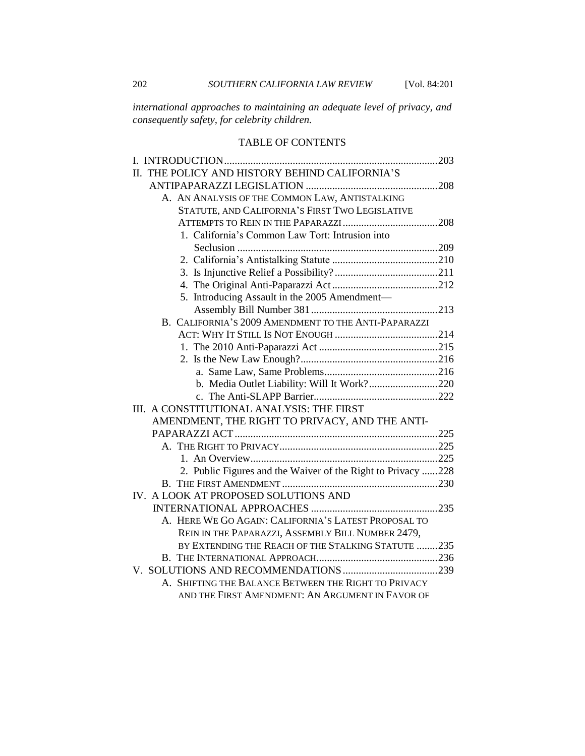*international approaches to maintaining an adequate level of privacy, and consequently safety, for celebrity children.*

# TABLE OF CONTENTS

| II. THE POLICY AND HISTORY BEHIND CALIFORNIA'S               |  |
|--------------------------------------------------------------|--|
|                                                              |  |
| A. AN ANALYSIS OF THE COMMON LAW, ANTISTALKING               |  |
| STATUTE, AND CALIFORNIA'S FIRST TWO LEGISLATIVE              |  |
|                                                              |  |
| 1. California's Common Law Tort: Intrusion into              |  |
|                                                              |  |
|                                                              |  |
|                                                              |  |
|                                                              |  |
| 5. Introducing Assault in the 2005 Amendment-                |  |
|                                                              |  |
| B. CALIFORNIA'S 2009 AMENDMENT TO THE ANTI-PAPARAZZI         |  |
|                                                              |  |
|                                                              |  |
|                                                              |  |
|                                                              |  |
| b. Media Outlet Liability: Will It Work?220                  |  |
|                                                              |  |
| III. A CONSTITUTIONAL ANALYSIS: THE FIRST                    |  |
| AMENDMENT, THE RIGHT TO PRIVACY, AND THE ANTI-               |  |
|                                                              |  |
|                                                              |  |
|                                                              |  |
| 2. Public Figures and the Waiver of the Right to Privacy 228 |  |
|                                                              |  |
| IV. A LOOK AT PROPOSED SOLUTIONS AND                         |  |
|                                                              |  |
| A. HERE WE GO AGAIN: CALIFORNIA'S LATEST PROPOSAL TO         |  |
| REIN IN THE PAPARAZZI, ASSEMBLY BILL NUMBER 2479,            |  |
| BY EXTENDING THE REACH OF THE STALKING STATUTE 235           |  |
|                                                              |  |
|                                                              |  |
| A. SHIFTING THE BALANCE BETWEEN THE RIGHT TO PRIVACY         |  |
| AND THE FIRST AMENDMENT: AN ARGUMENT IN FAVOR OF             |  |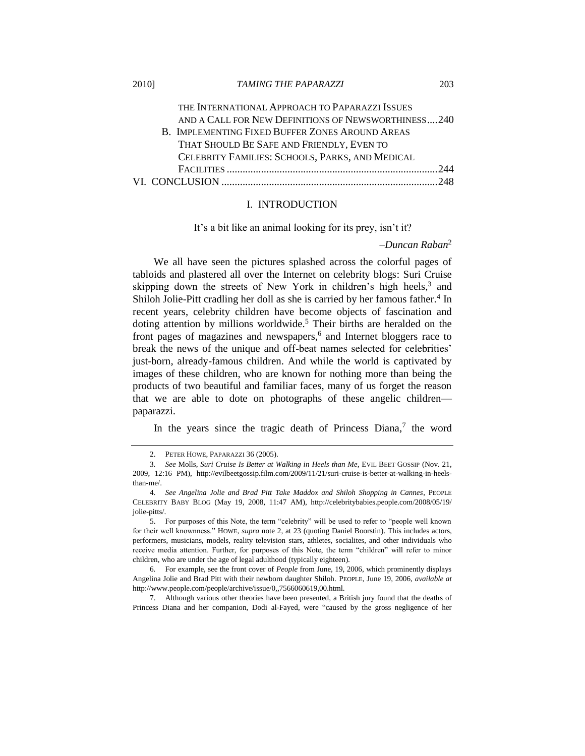2010] *TAMING THE PAPARAZZI* 203

THE INTERNATIONAL APPROACH TO PAPARAZZI ISSUES AND A CALL FOR NEW DEFINITIONS OF NEWSWORTHINESS....240 B. I[MPLEMENTING](#page-43-0) FIXED BUFFER ZONES AROUND AREAS THAT SHOULD BE S[AFE AND](#page-43-0) FRIENDLY, EVEN TO C[ELEBRITY](#page-43-0) FAMILIES: SCHOOLS, PARKS, AND MEDICAL FACILITIES [................................................................................244](#page-43-0) VI. CONCLUSION [..................................................................................248](#page-47-0)

## <span id="page-2-0"></span>I. INTRODUCTION

It's a bit like an animal looking for its prey, isn't it?

#### <span id="page-2-1"></span>*–Duncan Raban*<sup>2</sup>

We all have seen the pictures splashed across the colorful pages of tabloids and plastered all over the Internet on celebrity blogs: Suri Cruise skipping down the streets of New York in children's high heels, $3$  and Shiloh Jolie-Pitt cradling her doll as she is carried by her famous father.<sup>4</sup> In recent years, celebrity children have become objects of fascination and doting attention by millions worldwide.<sup>5</sup> Their births are heralded on the front pages of magazines and newspapers,<sup>6</sup> and Internet bloggers race to break the news of the unique and off-beat names selected for celebrities' just-born, already-famous children. And while the world is captivated by images of these children, who are known for nothing more than being the products of two beautiful and familiar faces, many of us forget the reason that we are able to dote on photographs of these angelic children paparazzi.

In the years since the tragic death of Princess Diana, $7$  the word

7. Although various other theories have been presented, a British jury found that the deaths of Princess Diana and her companion, Dodi al-Fayed, were "caused by the gross negligence of her

<sup>2.</sup> PETER HOWE, PAPARAZZI 36 (2005).

<sup>3</sup>*. See* Molls, *Suri Cruise Is Better at Walking in Heels than Me*, EVIL BEET GOSSIP (Nov. 21, 2009, 12:16 PM), http://evilbeetgossip.film.com/2009/11/21/suri-cruise-is-better-at-walking-in-heelsthan-me/.

<sup>4</sup>*. See Angelina Jolie and Brad Pitt Take Maddox and Shiloh Shopping in Cannes*, PEOPLE CELEBRITY BABY BLOG (May 19, 2008, 11:47 AM), http://celebritybabies.people.com/2008/05/19/ jolie-pitts/.

<sup>5.</sup> For purposes of this Note, the term "celebrity" will be used to refer to "people well known" for their well knownness.‖ HOWE, *supra* note [2,](#page-2-1) at 23 (quoting Daniel Boorstin). This includes actors, performers, musicians, models, reality television stars, athletes, socialites, and other individuals who receive media attention. Further, for purposes of this Note, the term "children" will refer to minor children, who are under the age of legal adulthood (typically eighteen).

<sup>6</sup>*.* For example, see the front cover of *People* from June, 19, 2006, which prominently displays Angelina Jolie and Brad Pitt with their newborn daughter Shiloh. PEOPLE, June 19, 2006, *available at*  http://www.people.com/people/archive/issue/0,,7566060619,00.html.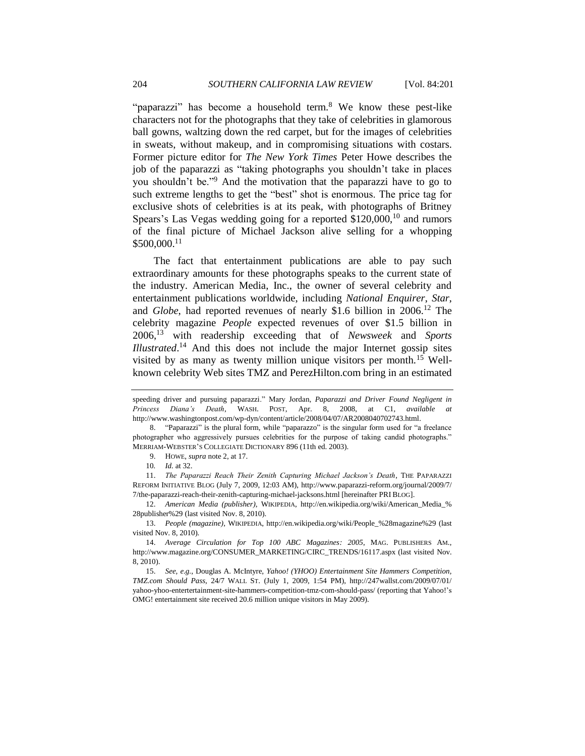"paparazzi" has become a household term. $8$  We know these pest-like characters not for the photographs that they take of celebrities in glamorous ball gowns, waltzing down the red carpet, but for the images of celebrities in sweats, without makeup, and in compromising situations with costars. Former picture editor for *The New York Times* Peter Howe describes the job of the paparazzi as "taking photographs you shouldn't take in places you shouldn't be."<sup>9</sup> And the motivation that the paparazzi have to go to such extreme lengths to get the "best" shot is enormous. The price tag for exclusive shots of celebrities is at its peak, with photographs of Britney Spears's Las Vegas wedding going for a reported  $$120,000$ ,<sup>10</sup> and rumors of the final picture of Michael Jackson alive selling for a whopping \$500,000.<sup>11</sup>

The fact that entertainment publications are able to pay such extraordinary amounts for these photographs speaks to the current state of the industry. American Media, Inc., the owner of several celebrity and entertainment publications worldwide, including *National Enquirer*, *Star*, and *Globe*, had reported revenues of nearly \$1.6 billion in 2006.<sup>12</sup> The celebrity magazine *People* expected revenues of over \$1.5 billion in 2006,<sup>13</sup> with readership exceeding that of *Newsweek* and *Sports Illustrated*. <sup>14</sup> And this does not include the major Internet gossip sites visited by as many as twenty million unique visitors per month.<sup>15</sup> Wellknown celebrity Web sites TMZ and PerezHilton.com bring in an estimated

speeding driver and pursuing paparazzi." Mary Jordan, Paparazzi and Driver Found Negligent in *Princess Diana's Death*, WASH. POST, Apr. 8, 2008, at C1, *available at*  http://www.washingtonpost.com/wp-dyn/content/article/2008/04/07/AR2008040702743.html.

<sup>8. &</sup>quot;Paparazzi" is the plural form, while "paparazzo" is the singular form used for "a freelance photographer who aggressively pursues celebrities for the purpose of taking candid photographs." MERRIAM-WEBSTER'S COLLEGIATE DICTIONARY 896 (11th ed. 2003).

<sup>9.</sup> HOWE, *supra* not[e 2,](#page-2-1) at 17.

<sup>10</sup>*. Id.* at 32.

<sup>11.</sup> *The Paparazzi Reach Their Zenith Capturing Michael Jackson's Death*, THE PAPARAZZI REFORM INITIATIVE BLOG (July 7, 2009, 12:03 AM), http://www.paparazzi-reform.org/journal/2009/7/ 7/the-paparazzi-reach-their-zenith-capturing-michael-jacksons.html [hereinafter PRI BLOG].

<sup>12.</sup> *American Media (publisher)*, WIKIPEDIA, http://en.wikipedia.org/wiki/American\_Media\_% 28publisher%29 (last visited Nov. 8, 2010).

<sup>13.</sup> *People (magazine)*, WIKIPEDIA, http://en.wikipedia.org/wiki/People\_%28magazine%29 (last visited Nov. 8, 2010).

<sup>14.</sup> *Average Circulation for Top 100 ABC Magazines: 2005*, MAG. PUBLISHERS AM., http://www.magazine.org/CONSUMER\_MARKETING/CIRC\_TRENDS/16117.aspx (last visited Nov. 8, 2010).

<sup>15.</sup> *See, e.g.*, Douglas A. McIntyre, *Yahoo! (YHOO) Entertainment Site Hammers Competition, TMZ.com Should Pass*, 24/7 WALL ST. (July 1, 2009, 1:54 PM), http://247wallst.com/2009/07/01/ yahoo-yhoo-entertertainment-site-hammers-competition-tmz-com-should-pass/ (reporting that Yahoo!'s OMG! entertainment site received 20.6 million unique visitors in May 2009).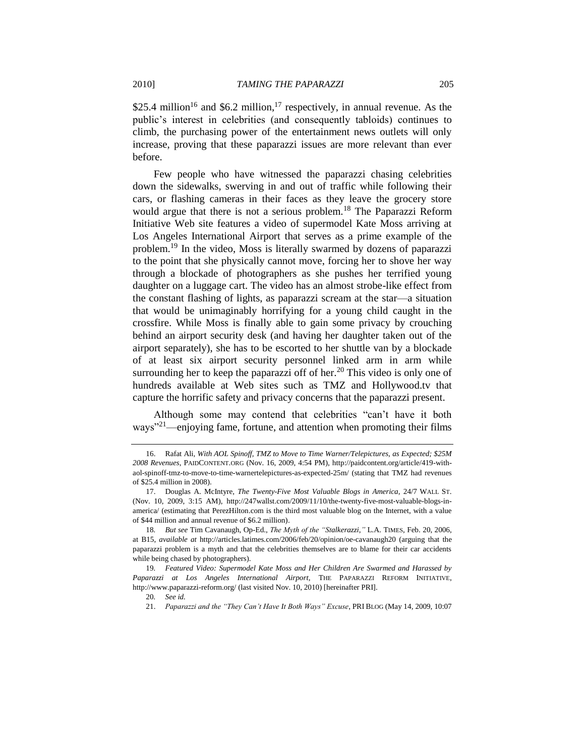\$25.4 million<sup>16</sup> and \$6.2 million,<sup>17</sup> respectively, in annual revenue. As the public's interest in celebrities (and consequently tabloids) continues to climb, the purchasing power of the entertainment news outlets will only increase, proving that these paparazzi issues are more relevant than ever before.

<span id="page-4-0"></span>Few people who have witnessed the paparazzi chasing celebrities down the sidewalks, swerving in and out of traffic while following their cars, or flashing cameras in their faces as they leave the grocery store would argue that there is not a serious problem.<sup>18</sup> The Paparazzi Reform Initiative Web site features a video of supermodel Kate Moss arriving at Los Angeles International Airport that serves as a prime example of the problem. <sup>19</sup> In the video, Moss is literally swarmed by dozens of paparazzi to the point that she physically cannot move, forcing her to shove her way through a blockade of photographers as she pushes her terrified young daughter on a luggage cart. The video has an almost strobe-like effect from the constant flashing of lights, as paparazzi scream at the star—a situation that would be unimaginably horrifying for a young child caught in the crossfire. While Moss is finally able to gain some privacy by crouching behind an airport security desk (and having her daughter taken out of the airport separately), she has to be escorted to her shuttle van by a blockade of at least six airport security personnel linked arm in arm while surrounding her to keep the paparazzi off of her.<sup>20</sup> This video is only one of hundreds available at Web sites such as TMZ and Hollywood.tv that capture the horrific safety and privacy concerns that the paparazzi present.

Although some may contend that celebrities "can't have it both ways<sup> $21$ </sup>—enjoying fame, fortune, and attention when promoting their films

<sup>16.</sup> Rafat Ali, *With AOL Spinoff, TMZ to Move to Time Warner/Telepictures, as Expected; \$25M 2008 Revenues*, PAIDCONTENT.ORG (Nov. 16, 2009, 4:54 PM), http://paidcontent.org/article/419-withaol-spinoff-tmz-to-move-to-time-warnertelepictures-as-expected-25m/ (stating that TMZ had revenues of \$25.4 million in 2008).

<sup>17.</sup> Douglas A. McIntyre, *The Twenty-Five Most Valuable Blogs in America*, 24/7 WALL ST. (Nov. 10, 2009, 3:15 AM), http://247wallst.com/2009/11/10/the-twenty-five-most-valuable-blogs-inamerica/ (estimating that PerezHilton.com is the third most valuable blog on the Internet, with a value of \$44 million and annual revenue of \$6.2 million).

<sup>18.</sup> *But see Tim Cavanaugh, Op-Ed., The Myth of the "Stalkerazzi," L.A. TIMES, Feb. 20, 2006,* at B15, *available at* http://articles.latimes.com/2006/feb/20/opinion/oe-cavanaugh20 (arguing that the paparazzi problem is a myth and that the celebrities themselves are to blame for their car accidents while being chased by photographers).

<sup>19</sup>*. Featured Video: Supermodel Kate Moss and Her Children Are Swarmed and Harassed by Paparazzi at Los Angeles International Airport*, THE PAPARAZZI REFORM INITIATIVE, http://www.paparazzi-reform.org/ (last visited Nov. 10, 2010) [hereinafter PRI].

<sup>20</sup>*. See id.*

<sup>21.</sup> *Paparazzi and the "They Can't Have It Both Ways" Excuse*, PRI BLOG (May 14, 2009, 10:07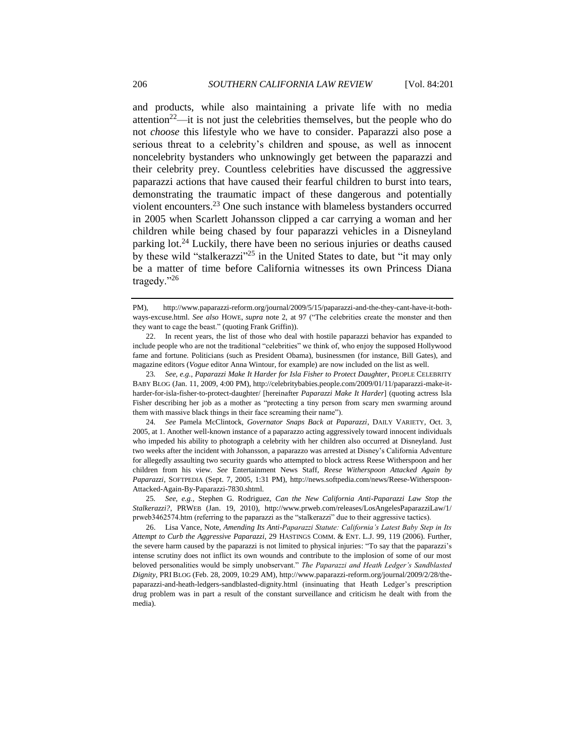and products, while also maintaining a private life with no media attention<sup>22</sup>—it is not just the celebrities themselves, but the people who do not *choose* this lifestyle who we have to consider. Paparazzi also pose a serious threat to a celebrity's children and spouse, as well as innocent noncelebrity bystanders who unknowingly get between the paparazzi and their celebrity prey. Countless celebrities have discussed the aggressive paparazzi actions that have caused their fearful children to burst into tears, demonstrating the traumatic impact of these dangerous and potentially violent encounters.<sup>23</sup> One such instance with blameless bystanders occurred in 2005 when Scarlett Johansson clipped a car carrying a woman and her children while being chased by four paparazzi vehicles in a Disneyland parking lot.<sup>24</sup> Luckily, there have been no serious injuries or deaths caused by these wild "stalkerazzi"<sup>25</sup> in the United States to date, but "it may only be a matter of time before California witnesses its own Princess Diana tragedy. $"26$ 

<span id="page-5-1"></span><span id="page-5-0"></span>PM), http://www.paparazzi-reform.org/journal/2009/5/15/paparazzi-and-the-they-cant-have-it-bothways-excuse.html. *See also* HOWE, *supra* note [2,](#page-2-1) at 97 ("The celebrities create the monster and then they want to cage the beast." (quoting Frank Griffin)).

<sup>22.</sup> In recent years, the list of those who deal with hostile paparazzi behavior has expanded to include people who are not the traditional "celebrities" we think of, who enjoy the supposed Hollywood fame and fortune. Politicians (such as President Obama), businessmen (for instance, Bill Gates), and magazine editors (*Vogue* editor Anna Wintour, for example) are now included on the list as well.

<sup>23</sup>*. See, e.g.*, *Paparazzi Make It Harder for Isla Fisher to Protect Daughter*, PEOPLE CELEBRITY BABY BLOG (Jan. 11, 2009, 4:00 PM), http://celebritybabies.people.com/2009/01/11/paparazzi-make-itharder-for-isla-fisher-to-protect-daughter/ [hereinafter *Paparazzi Make It Harder*] (quoting actress Isla Fisher describing her job as a mother as "protecting a tiny person from scary men swarming around them with massive black things in their face screaming their name").

<sup>24</sup>*. See* Pamela McClintock, *Governator Snaps Back at Paparazzi*, DAILY VARIETY, Oct. 3, 2005, at 1. Another well-known instance of a paparazzo acting aggressively toward innocent individuals who impeded his ability to photograph a celebrity with her children also occurred at Disneyland. Just two weeks after the incident with Johansson, a paparazzo was arrested at Disney's California Adventure for allegedly assaulting two security guards who attempted to block actress Reese Witherspoon and her children from his view. *See* Entertainment News Staff, *Reese Witherspoon Attacked Again by Paparazzi*, SOFTPEDIA (Sept. 7, 2005, 1:31 PM), http://news.softpedia.com/news/Reese-Witherspoon-Attacked-Again-By-Paparazzi-7830.shtml.

<sup>25</sup>*. See, e.g.*, Stephen G. Rodriguez, *Can the New California Anti-Paparazzi Law Stop the Stalkerazzi?*, PRWEB (Jan. 19, 2010), http://www.prweb.com/releases/LosAngelesPaparazziLaw/1/ prweb3462574.htm (referring to the paparazzi as the "stalkerazzi" due to their aggressive tactics).

<sup>26.</sup> Lisa Vance, Note, *Amending Its Anti-Paparazzi Statute: California's Latest Baby Step in Its Attempt to Curb the Aggressive Paparazzi*, 29 HASTINGS COMM. & ENT. L.J. 99, 119 (2006). Further, the severe harm caused by the paparazzi is not limited to physical injuries: "To say that the paparazzi's intense scrutiny does not inflict its own wounds and contribute to the implosion of some of our most beloved personalities would be simply unobservant." *The Paparazzi and Heath Ledger's Sandblasted Dignity*, PRI BLOG (Feb. 28, 2009, 10:29 AM), http://www.paparazzi-reform.org/journal/2009/2/28/thepaparazzi-and-heath-ledgers-sandblasted-dignity.html (insinuating that Heath Ledger's prescription drug problem was in part a result of the constant surveillance and criticism he dealt with from the media).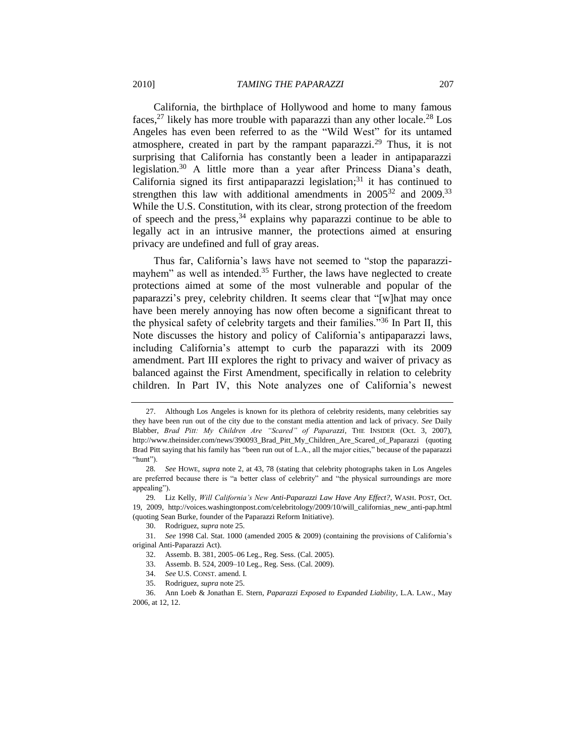California, the birthplace of Hollywood and home to many famous faces,<sup>27</sup> likely has more trouble with paparazzi than any other locale.<sup>28</sup> Los Angeles has even been referred to as the "Wild West" for its untamed

<span id="page-6-1"></span>atmosphere, created in part by the rampant paparazzi.<sup>29</sup> Thus, it is not surprising that California has constantly been a leader in antipaparazzi legislation.<sup>30</sup> A little more than a year after Princess Diana's death, California signed its first antipaparazzi legislation; $31$  it has continued to strengthen this law with additional amendments in  $2005^{32}$  and  $2009^{33}$ While the U.S. Constitution, with its clear, strong protection of the freedom of speech and the press,  $34$  explains why paparazzi continue to be able to legally act in an intrusive manner, the protections aimed at ensuring privacy are undefined and full of gray areas.

<span id="page-6-0"></span>Thus far, California's laws have not seemed to "stop the paparazzimayhem" as well as intended.<sup>35</sup> Further, the laws have neglected to create protections aimed at some of the most vulnerable and popular of the paparazzi's prey, celebrity children. It seems clear that "[w]hat may once have been merely annoying has now often become a significant threat to the physical safety of celebrity targets and their families.<sup> $36$ </sup> In Part II, this Note discusses the history and policy of California's antipaparazzi laws, including California's attempt to curb the paparazzi with its 2009 amendment. Part III explores the right to privacy and waiver of privacy as balanced against the First Amendment, specifically in relation to celebrity children. In Part IV, this Note analyzes one of California's newest

<sup>27.</sup> Although Los Angeles is known for its plethora of celebrity residents, many celebrities say they have been run out of the city due to the constant media attention and lack of privacy. *See* Daily Blabber, *Brad Pitt: My Children Are "Scared" of Paparazzi*, THE INSIDER (Oct. 3, 2007), http://www.theinsider.com/news/390093\_Brad\_Pitt\_My\_Children\_Are\_Scared\_of\_Paparazzi (quoting Brad Pitt saying that his family has "been run out of L.A., all the major cities," because of the paparazzi "hunt").

<sup>28</sup>*. See* HOWE, *supra* note [2,](#page-2-1) at 43, 78 (stating that celebrity photographs taken in Los Angeles are preferred because there is "a better class of celebrity" and "the physical surroundings are more appealing").

<sup>29</sup>*.* Liz Kelly, *Will California's New Anti-Paparazzi Law Have Any Effect?*, WASH. POST, Oct. 19, 2009, http://voices.washingtonpost.com/celebritology/2009/10/will\_californias\_new\_anti-pap.html (quoting Sean Burke, founder of the Paparazzi Reform Initiative).

<sup>30.</sup> Rodriguez, *supra* not[e 25.](#page-5-0)

<sup>31.</sup> *See* 1998 Cal. Stat. 1000 (amended 2005 & 2009) (containing the provisions of California's original Anti-Paparazzi Act).

<sup>32.</sup> Assemb. B. 381, 2005–06 Leg., Reg. Sess. (Cal. 2005).

<sup>33.</sup> Assemb. B. 524, 2009–10 Leg., Reg. Sess. (Cal. 2009).

<sup>34.</sup> *See* U.S. CONST. amend. I.

<sup>35.</sup> Rodriguez, *supra* not[e 25.](#page-5-0)

<sup>36.</sup> Ann Loeb & Jonathan E. Stern, *Paparazzi Exposed to Expanded Liability*, L.A. LAW., May 2006, at 12, 12.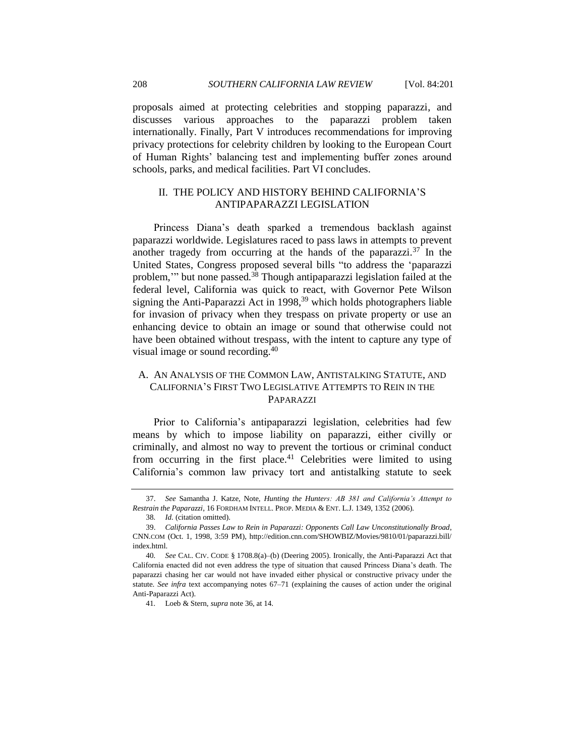proposals aimed at protecting celebrities and stopping paparazzi, and discusses various approaches to the paparazzi problem taken internationally. Finally, Part V introduces recommendations for improving privacy protections for celebrity children by looking to the European Court of Human Rights' balancing test and implementing buffer zones around schools, parks, and medical facilities. Part VI concludes.

# <span id="page-7-2"></span><span id="page-7-0"></span>II. THE POLICY AND HISTORY BEHIND CALIFORNIA'S ANTIPAPARAZZI LEGISLATION

Princess Diana's death sparked a tremendous backlash against paparazzi worldwide. Legislatures raced to pass laws in attempts to prevent another tragedy from occurring at the hands of the paparazzi.<sup>37</sup> In the United States, Congress proposed several bills "to address the 'paparazzi problem," but none passed.<sup>38</sup> Though antipaparazzi legislation failed at the federal level, California was quick to react, with Governor Pete Wilson signing the Anti-Paparazzi Act in  $1998<sup>39</sup>$  which holds photographers liable for invasion of privacy when they trespass on private property or use an enhancing device to obtain an image or sound that otherwise could not have been obtained without trespass, with the intent to capture any type of visual image or sound recording.<sup>40</sup>

# <span id="page-7-1"></span>A. AN ANALYSIS OF THE COMMON LAW, ANTISTALKING STATUTE, AND CALIFORNIA'S FIRST TWO LEGISLATIVE ATTEMPTS TO REIN IN THE PAPARAZZI

Prior to California's antipaparazzi legislation, celebrities had few means by which to impose liability on paparazzi, either civilly or criminally, and almost no way to prevent the tortious or criminal conduct from occurring in the first place.<sup>41</sup> Celebrities were limited to using California's common law privacy tort and antistalking statute to seek

<sup>37.</sup> *See* Samantha J. Katze, Note, *Hunting the Hunters: AB 381 and California's Attempt to Restrain the Paparazzi*, 16 FORDHAM INTELL. PROP. MEDIA & ENT. L.J. 1349, 1352 (2006).

<sup>38</sup>*. Id.* (citation omitted).

<sup>39.</sup> *California Passes Law to Rein in Paparazzi: Opponents Call Law Unconstitutionally Broad*, CNN.COM (Oct. 1, 1998, 3:59 PM), http://edition.cnn.com/SHOWBIZ/Movies/9810/01/paparazzi.bill/ index.html.

<sup>40</sup>*. See* CAL. CIV. CODE § 1708.8(a)–(b) (Deering 2005). Ironically, the Anti-Paparazzi Act that California enacted did not even address the type of situation that caused Princess Diana's death. The paparazzi chasing her car would not have invaded either physical or constructive privacy under the statute. *See infra* text accompanying notes [67–](#page-11-1)[71](#page-12-1) (explaining the causes of action under the original Anti-Paparazzi Act).

<sup>41</sup>*.* Loeb & Stern, *supra* not[e 36,](#page-6-0) at 14.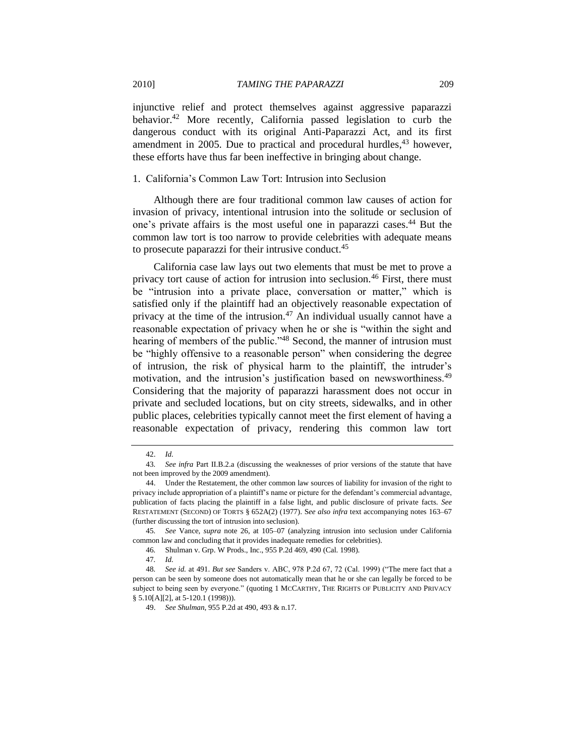injunctive relief and protect themselves against aggressive paparazzi behavior.<sup>42</sup> More recently, California passed legislation to curb the dangerous conduct with its original Anti-Paparazzi Act, and its first amendment in 2005. Due to practical and procedural hurdles,<sup>43</sup> however, these efforts have thus far been ineffective in bringing about change.

#### <span id="page-8-0"></span>1. California's Common Law Tort: Intrusion into Seclusion

Although there are four traditional common law causes of action for invasion of privacy, intentional intrusion into the solitude or seclusion of one's private affairs is the most useful one in paparazzi cases.<sup>44</sup> But the common law tort is too narrow to provide celebrities with adequate means to prosecute paparazzi for their intrusive conduct.<sup>45</sup>

California case law lays out two elements that must be met to prove a privacy tort cause of action for intrusion into seclusion.<sup>46</sup> First, there must be "intrusion into a private place, conversation or matter," which is satisfied only if the plaintiff had an objectively reasonable expectation of privacy at the time of the intrusion.<sup>47</sup> An individual usually cannot have a reasonable expectation of privacy when he or she is "within the sight and hearing of members of the public."<sup>48</sup> Second, the manner of intrusion must be "highly offensive to a reasonable person" when considering the degree of intrusion, the risk of physical harm to the plaintiff, the intruder's motivation, and the intrusion's justification based on newsworthiness.<sup>49</sup> Considering that the majority of paparazzi harassment does not occur in private and secluded locations, but on city streets, sidewalks, and in other public places, celebrities typically cannot meet the first element of having a reasonable expectation of privacy, rendering this common law tort

<sup>42.</sup> *Id.*

<sup>43</sup>*. See infra* Part II.B.2.a (discussing the weaknesses of prior versions of the statute that have not been improved by the 2009 amendment).

<sup>44.</sup> Under the Restatement, the other common law sources of liability for invasion of the right to privacy include appropriation of a plaintiff's name or picture for the defendant's commercial advantage, publication of facts placing the plaintiff in a false light, and public disclosure of private facts. *See*  RESTATEMENT (SECOND) OF TORTS § 652A(2) (1977). S*ee also infra* text accompanying notes [163](#page-26-0)[–67](#page-27-1) (further discussing the tort of intrusion into seclusion).

<sup>45</sup>*. See* Vance, *supra* note [26,](#page-5-1) at 105–07 (analyzing intrusion into seclusion under California common law and concluding that it provides inadequate remedies for celebrities).

<sup>46</sup>*.* Shulman v. Grp. W Prods., Inc., 955 P.2d 469, 490 (Cal. 1998).

<sup>47</sup>*. Id.*

<sup>48.</sup> *See id.* at 491. *But see Sanders v. ABC, 978 P.2d 67, 72 (Cal. 1999)* ("The mere fact that a person can be seen by someone does not automatically mean that he or she can legally be forced to be subject to being seen by everyone." (quoting 1 MCCARTHY, THE RIGHTS OF PUBLICITY AND PRIVACY § 5.10[A][2], at 5-120.1 (1998))).

<sup>49.</sup> *See Shulman*, 955 P.2d at 490, 493 & n.17.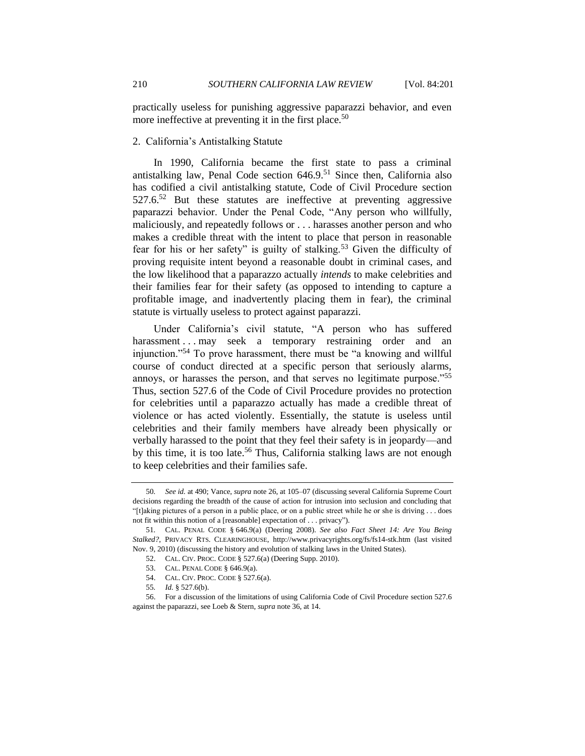practically useless for punishing aggressive paparazzi behavior, and even more ineffective at preventing it in the first place.<sup>50</sup>

## <span id="page-9-0"></span>2. California's Antistalking Statute

In 1990, California became the first state to pass a criminal antistalking law, Penal Code section  $646.9<sup>51</sup>$  Since then, California also has codified a civil antistalking statute, Code of Civil Procedure section  $527.6<sup>52</sup>$  But these statutes are ineffective at preventing aggressive paparazzi behavior. Under the Penal Code, "Any person who willfully, maliciously, and repeatedly follows or . . . harasses another person and who makes a credible threat with the intent to place that person in reasonable fear for his or her safety" is guilty of stalking.<sup>53</sup> Given the difficulty of proving requisite intent beyond a reasonable doubt in criminal cases, and the low likelihood that a paparazzo actually *intends* to make celebrities and their families fear for their safety (as opposed to intending to capture a profitable image, and inadvertently placing them in fear), the criminal statute is virtually useless to protect against paparazzi.

Under California's civil statute, "A person who has suffered harassment . . . may seek a temporary restraining order and an injunction."<sup>54</sup> To prove harassment, there must be "a knowing and willful course of conduct directed at a specific person that seriously alarms, annoys, or harasses the person, and that serves no legitimate purpose."<sup>55</sup> Thus, section 527.6 of the Code of Civil Procedure provides no protection for celebrities until a paparazzo actually has made a credible threat of violence or has acted violently. Essentially, the statute is useless until celebrities and their family members have already been physically or verbally harassed to the point that they feel their safety is in jeopardy—and by this time, it is too late.<sup>56</sup> Thus, California stalking laws are not enough to keep celebrities and their families safe.

<sup>50</sup>*. See id.* at 490; Vance, *supra* not[e 26,](#page-5-1) at 105–07 (discussing several California Supreme Court decisions regarding the breadth of the cause of action for intrusion into seclusion and concluding that ―[t]aking pictures of a person in a public place, or on a public street while he or she is driving . . . does not fit within this notion of a [reasonable] expectation of . . . privacy").

<sup>51</sup>*.* CAL. PENAL CODE § 646.9(a) (Deering 2008). *See also Fact Sheet 14: Are You Being Stalked?*, PRIVACY RTS. CLEARINGHOUSE, http://www.privacyrights.org/fs/fs14-stk.htm (last visited Nov. 9, 2010) (discussing the history and evolution of stalking laws in the United States).

<sup>52.</sup> CAL. CIV. PROC. CODE § 527.6(a) (Deering Supp. 2010).

<sup>53.</sup> CAL. PENAL CODE § 646.9(a).

<sup>54.</sup> CAL. CIV. PROC. CODE § 527.6(a).

<sup>55</sup>*. Id.* § 527.6(b).

<sup>56.</sup> For a discussion of the limitations of using California Code of Civil Procedure section 527.6 against the paparazzi, see Loeb & Stern, *supra* not[e 36,](#page-6-0) at 14.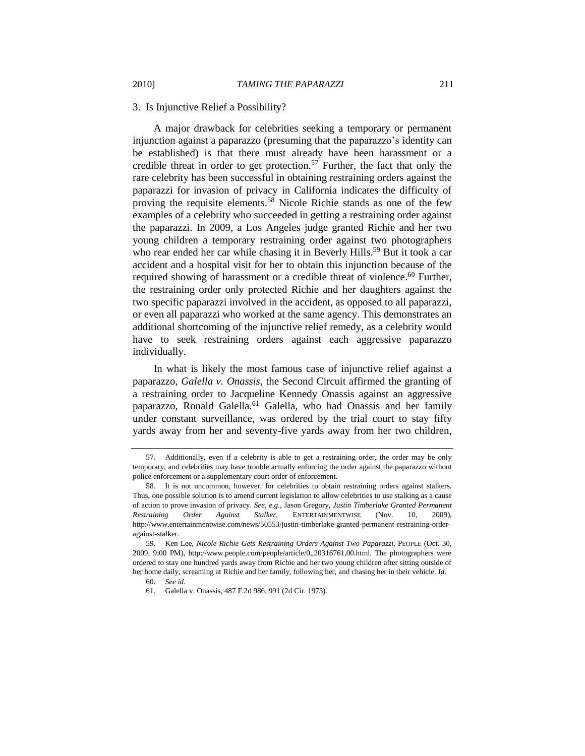#### <span id="page-10-0"></span>3. Is Injunctive Relief a Possibility?

A major drawback for celebrities seeking a temporary or permanent injunction against a paparazzo (presuming that the paparazzo's identity can be established) is that there must already have been harassment or a credible threat in order to get protection.<sup>57</sup> Further, the fact that only the rare celebrity has been successful in obtaining restraining orders against the paparazzi for invasion of privacy in California indicates the difficulty of proving the requisite elements.<sup>58</sup> Nicole Richie stands as one of the few examples of a celebrity who succeeded in getting a restraining order against the paparazzi. In 2009, a Los Angeles judge granted Richie and her two young children a temporary restraining order against two photographers who rear ended her car while chasing it in Beverly Hills.<sup>59</sup> But it took a car accident and a hospital visit for her to obtain this injunction because of the required showing of harassment or a credible threat of violence.<sup>60</sup> Further, the restraining order only protected Richie and her daughters against the two specific paparazzi involved in the accident, as opposed to all paparazzi, or even all paparazzi who worked at the same agency. This demonstrates an additional shortcoming of the injunctive relief remedy, as a celebrity would have to seek restraining orders against each aggressive paparazzo individually.

In what is likely the most famous case of injunctive relief against a paparazzo, *Galella v. Onassis*, the Second Circuit affirmed the granting of a restraining order to Jacqueline Kennedy Onassis against an aggressive paparazzo, Ronald Galella.<sup>61</sup> Galella, who had Onassis and her family under constant surveillance, was ordered by the trial court to stay fifty yards away from her and seventy-five yards away from her two children,

<sup>57.</sup> Additionally, even if a celebrity is able to get a restraining order, the order may be only temporary, and celebrities may have trouble actually enforcing the order against the paparazzo without police enforcement or a supplementary court order of enforcement.

<sup>58.</sup> It is not uncommon, however, for celebrities to obtain restraining orders against stalkers. Thus, one possible solution is to amend current legislation to allow celebrities to use stalking as a cause of action to prove invasion of privacy. *See, e.g.*, Jason Gregory, *Justin Timberlake Granted Permanent Restraining Order Against Stalker*, ENTERTAINMENTWISE (Nov. 10, 2009), http://www.entertainmentwise.com/news/50553/justin-timberlake-granted-permanent-restraining-orderagainst-stalker.

<sup>59</sup>*.* Ken Lee, *Nicole Richie Gets Restraining Orders Against Two Paparazzi*, PEOPLE (Oct. 30, 2009, 9:00 PM), http://www.people.com/people/article/0,,20316761,00.html. The photographers were ordered to stay one hundred yards away from Richie and her two young children after sitting outside of her home daily, screaming at Richie and her family, following her, and chasing her in their vehicle. *Id.*

<sup>60</sup>*. See id.*

<sup>61</sup>*.* Galella v. Onassis, 487 F.2d 986, 991 (2d Cir. 1973).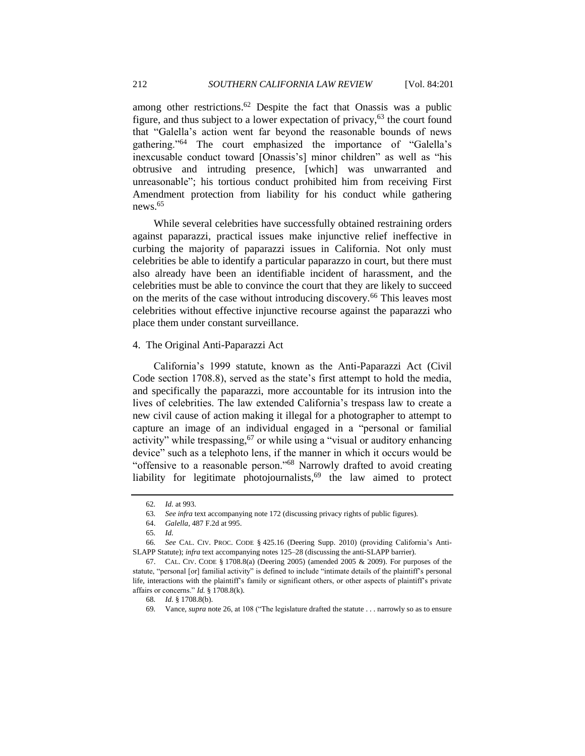among other restrictions.<sup>62</sup> Despite the fact that Onassis was a public figure, and thus subject to a lower expectation of privacy,  $63$  the court found that "Galella's action went far beyond the reasonable bounds of news gathering."<sup>64</sup> The court emphasized the importance of "Galella's inexcusable conduct toward [Onassis's] minor children" as well as "his obtrusive and intruding presence, [which] was unwarranted and unreasonable"; his tortious conduct prohibited him from receiving First Amendment protection from liability for his conduct while gathering news.<sup>65</sup>

While several celebrities have successfully obtained restraining orders against paparazzi, practical issues make injunctive relief ineffective in curbing the majority of paparazzi issues in California. Not only must celebrities be able to identify a particular paparazzo in court, but there must also already have been an identifiable incident of harassment, and the celebrities must be able to convince the court that they are likely to succeed on the merits of the case without introducing discovery.<sup>66</sup> This leaves most celebrities without effective injunctive recourse against the paparazzi who place them under constant surveillance.

#### <span id="page-11-0"></span>4. The Original Anti-Paparazzi Act

California's 1999 statute, known as the Anti-Paparazzi Act (Civil Code section 1708.8), served as the state's first attempt to hold the media, and specifically the paparazzi, more accountable for its intrusion into the lives of celebrities. The law extended California's trespass law to create a new civil cause of action making it illegal for a photographer to attempt to capture an image of an individual engaged in a "personal or familial activity" while trespassing,  $67$  or while using a "visual or auditory enhancing device" such as a telephoto lens, if the manner in which it occurs would be "offensive to a reasonable person."<sup>68</sup> Narrowly drafted to avoid creating liability for legitimate photojournalists, $69$  the law aimed to protect

<span id="page-11-1"></span><sup>62</sup>*. Id.* at 993.

<sup>63</sup>*. See infra* text accompanying not[e 172](#page-28-0) (discussing privacy rights of public figures).

<sup>64.</sup> *Galella*, 487 F.2d at 995.

<sup>65</sup>*. Id.*

<sup>66</sup>*. See* CAL. CIV. PROC. CODE § 425.16 (Deering Supp. 2010) (providing California's Anti-SLAPP Statute); *infra* text accompanying note[s 125](#page-21-1)[–28](#page-21-2) (discussing the anti-SLAPP barrier).

<sup>67.</sup> CAL. CIV. CODE § 1708.8(a) (Deering 2005) (amended 2005 & 2009). For purposes of the statute, "personal [or] familial activity" is defined to include "intimate details of the plaintiff's personal life, interactions with the plaintiff's family or significant others, or other aspects of plaintiff's private affairs or concerns." *Id.* § 1708.8(k).

<sup>68</sup>*. Id.* § 1708.8(b).

<sup>69.</sup> Vance, *supra* not[e 26,](#page-5-1) at 108 ("The legislature drafted the statute . . . narrowly so as to ensure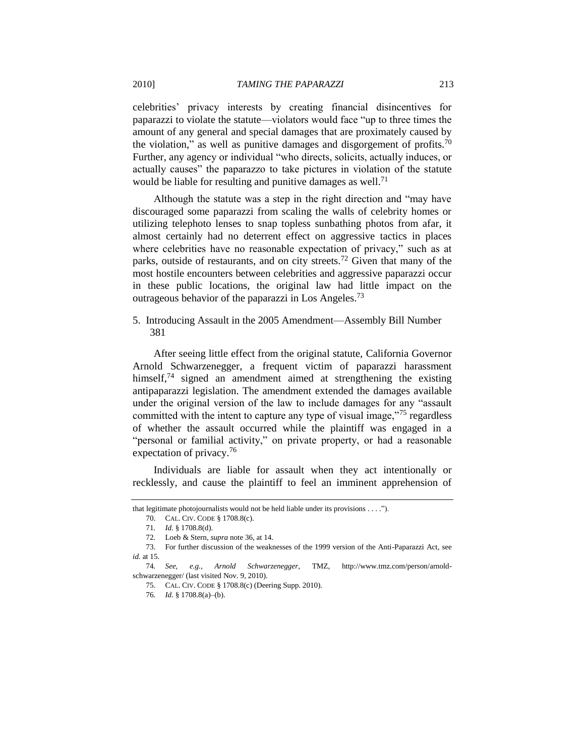celebrities' privacy interests by creating financial disincentives for paparazzi to violate the statute—violators would face "up to three times the amount of any general and special damages that are proximately caused by the violation," as well as punitive damages and disgorgement of profits.<sup>70</sup> Further, any agency or individual "who directs, solicits, actually induces, or actually causes" the paparazzo to take pictures in violation of the statute would be liable for resulting and punitive damages as well.<sup>71</sup>

<span id="page-12-1"></span>Although the statute was a step in the right direction and "may have discouraged some paparazzi from scaling the walls of celebrity homes or utilizing telephoto lenses to snap topless sunbathing photos from afar, it almost certainly had no deterrent effect on aggressive tactics in places where celebrities have no reasonable expectation of privacy," such as at parks, outside of restaurants, and on city streets.<sup>72</sup> Given that many of the most hostile encounters between celebrities and aggressive paparazzi occur in these public locations, the original law had little impact on the outrageous behavior of the paparazzi in Los Angeles.<sup>73</sup>

<span id="page-12-0"></span>5. Introducing Assault in the 2005 Amendment—Assembly Bill Number 381

After seeing little effect from the original statute, California Governor Arnold Schwarzenegger, a frequent victim of paparazzi harassment himself, $74$  signed an amendment aimed at strengthening the existing antipaparazzi legislation. The amendment extended the damages available under the original version of the law to include damages for any "assault" committed with the intent to capture any type of visual image, $\frac{7}{5}$  regardless of whether the assault occurred while the plaintiff was engaged in a "personal or familial activity," on private property, or had a reasonable expectation of privacy.<sup>76</sup>

Individuals are liable for assault when they act intentionally or recklessly, and cause the plaintiff to feel an imminent apprehension of

that legitimate photojournalists would not be held liable under its provisions  $\dots$ .").

<sup>70.</sup> CAL. CIV. CODE § 1708.8(c).

<sup>71</sup>*. Id.* § 1708.8(d).

<sup>72</sup>*.* Loeb & Stern, *supra* not[e 36,](#page-6-0) at 14.

<sup>73.</sup> For further discussion of the weaknesses of the 1999 version of the Anti-Paparazzi Act, see *id.* at 15.

<sup>74</sup>*. See, e.g.*, *Arnold Schwarzenegger*, TMZ, http://www.tmz.com/person/arnoldschwarzenegger/ (last visited Nov. 9, 2010).

<sup>75.</sup> CAL. CIV. CODE § 1708.8(c) (Deering Supp. 2010).

<sup>76</sup>*. Id.* § 1708.8(a)–(b).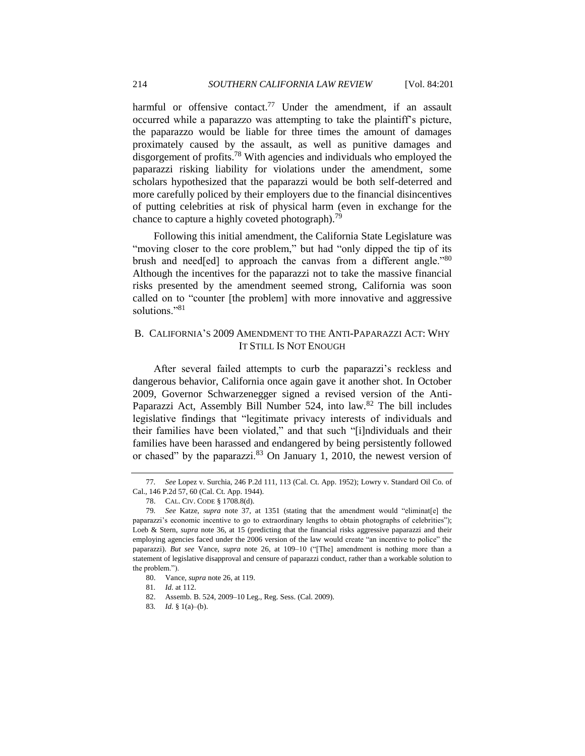harmful or offensive contact.<sup>77</sup> Under the amendment, if an assault occurred while a paparazzo was attempting to take the plaintiff's picture, the paparazzo would be liable for three times the amount of damages proximately caused by the assault, as well as punitive damages and disgorgement of profits.<sup>78</sup> With agencies and individuals who employed the paparazzi risking liability for violations under the amendment, some scholars hypothesized that the paparazzi would be both self-deterred and more carefully policed by their employers due to the financial disincentives of putting celebrities at risk of physical harm (even in exchange for the chance to capture a highly coveted photograph).<sup>79</sup>

Following this initial amendment, the California State Legislature was "moving closer to the core problem," but had "only dipped the tip of its brush and need[ed] to approach the canvas from a different angle.<sup>80</sup> Although the incentives for the paparazzi not to take the massive financial risks presented by the amendment seemed strong, California was soon called on to "counter [the problem] with more innovative and aggressive solutions<sup></sup>.<sup>81</sup>

## <span id="page-13-0"></span>B. CALIFORNIA'S 2009 AMENDMENT TO THE ANTI-PAPARAZZI ACT: WHY IT STILL IS NOT ENOUGH

After several failed attempts to curb the paparazzi's reckless and dangerous behavior, California once again gave it another shot. In October 2009, Governor Schwarzenegger signed a revised version of the Anti-Paparazzi Act, Assembly Bill Number 524, into law.<sup>82</sup> The bill includes legislative findings that "legitimate privacy interests of individuals and their families have been violated," and that such "[i]ndividuals and their families have been harassed and endangered by being persistently followed or chased" by the paparazzi. $83$  On January 1, 2010, the newest version of

<sup>77</sup>*. See* Lopez v. Surchia, 246 P.2d 111, 113 (Cal. Ct. App. 1952); Lowry v. Standard Oil Co. of Cal., 146 P.2d 57, 60 (Cal. Ct. App. 1944).

<sup>78.</sup> CAL. CIV. CODE § 1708.8(d).

<sup>79.</sup> See Katze, *supra* note [37,](#page-7-2) at 1351 (stating that the amendment would "eliminat[e] the paparazzi's economic incentive to go to extraordinary lengths to obtain photographs of celebrities"); Loeb & Stern, *supra* note [36,](#page-6-0) at 15 (predicting that the financial risks aggressive paparazzi and their employing agencies faced under the 2006 version of the law would create "an incentive to police" the paparazzi). *But see* Vance, *supra* note [26,](#page-5-1) at 109–10 ("The] amendment is nothing more than a statement of legislative disapproval and censure of paparazzi conduct, rather than a workable solution to the problem.").

<sup>80.</sup> Vance, *supra* not[e 26,](#page-5-1) at 119.

<sup>81</sup>*. Id.* at 112.

<sup>82.</sup> Assemb. B. 524, 2009–10 Leg., Reg. Sess. (Cal. 2009).

<sup>83</sup>*. Id.* § 1(a)–(b).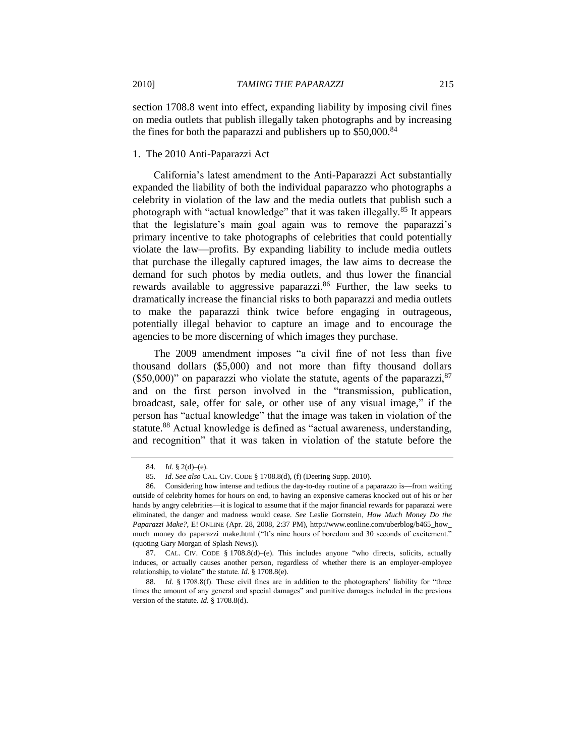section 1708.8 went into effect, expanding liability by imposing civil fines on media outlets that publish illegally taken photographs and by increasing the fines for both the paparazzi and publishers up to  $$50,000$ .<sup>84</sup>

### <span id="page-14-0"></span>1. The 2010 Anti-Paparazzi Act

California's latest amendment to the Anti-Paparazzi Act substantially expanded the liability of both the individual paparazzo who photographs a celebrity in violation of the law and the media outlets that publish such a photograph with "actual knowledge" that it was taken illegally.<sup>85</sup> It appears that the legislature's main goal again was to remove the paparazzi's primary incentive to take photographs of celebrities that could potentially violate the law—profits. By expanding liability to include media outlets that purchase the illegally captured images, the law aims to decrease the demand for such photos by media outlets, and thus lower the financial rewards available to aggressive paparazzi.<sup>86</sup> Further, the law seeks to dramatically increase the financial risks to both paparazzi and media outlets to make the paparazzi think twice before engaging in outrageous, potentially illegal behavior to capture an image and to encourage the agencies to be more discerning of which images they purchase.

<span id="page-14-1"></span>The 2009 amendment imposes "a civil fine of not less than five thousand dollars (\$5,000) and not more than fifty thousand dollars (\$50,000)" on paparazzi who violate the statute, agents of the paparazzi,  $87$ and on the first person involved in the "transmission, publication, broadcast, sale, offer for sale, or other use of any visual image," if the person has "actual knowledge" that the image was taken in violation of the statute.<sup>88</sup> Actual knowledge is defined as "actual awareness, understanding, and recognition" that it was taken in violation of the statute before the

87. CAL. CIV. CODE § 1708.8(d)–(e). This includes anyone "who directs, solicits, actually induces, or actually causes another person, regardless of whether there is an employer-employee relationship, to violate" the statute. *Id.* § 1708.8(e).

88. *Id.* § 1708.8(f). These civil fines are in addition to the photographers' liability for "three times the amount of any general and special damages" and punitive damages included in the previous version of the statute. *Id.* § 1708.8(d).

<sup>84</sup>*. Id.* § 2(d)–(e).

<sup>85</sup>*. Id. See also* CAL. CIV. CODE § 1708.8(d), (f) (Deering Supp. 2010).

<sup>86.</sup> Considering how intense and tedious the day-to-day routine of a paparazzo is—from waiting outside of celebrity homes for hours on end, to having an expensive cameras knocked out of his or her hands by angry celebrities—it is logical to assume that if the major financial rewards for paparazzi were eliminated, the danger and madness would cease. *See* Leslie Gornstein, *How Much Money Do the Paparazzi Make?*, E! ONLINE (Apr. 28, 2008, 2:37 PM), http://www.eonline.com/uberblog/b465\_how\_ much\_money\_do\_paparazzi\_make.html ("It's nine hours of boredom and 30 seconds of excitement." (quoting Gary Morgan of Splash News)).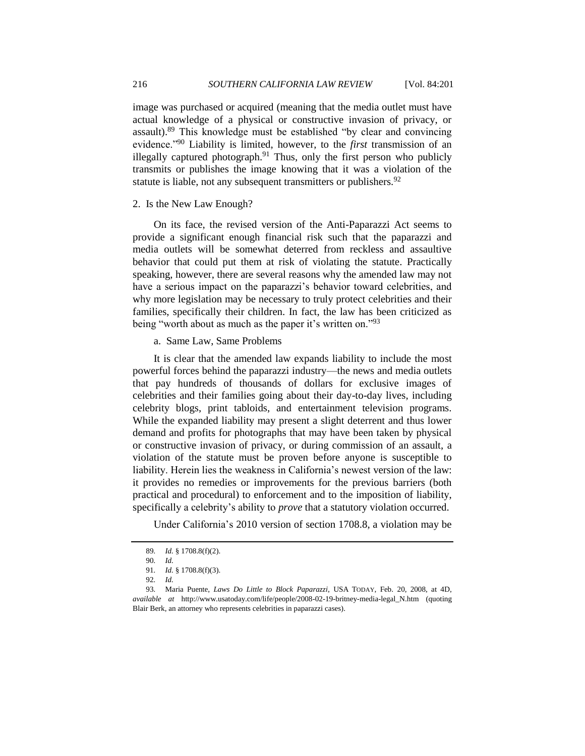image was purchased or acquired (meaning that the media outlet must have actual knowledge of a physical or constructive invasion of privacy, or assault). $89$  This knowledge must be established "by clear and convincing evidence.<sup>"90</sup> Liability is limited, however, to the *first* transmission of an illegally captured photograph. $91$  Thus, only the first person who publicly transmits or publishes the image knowing that it was a violation of the statute is liable, not any subsequent transmitters or publishers.<sup>92</sup>

#### <span id="page-15-0"></span>2. Is the New Law Enough?

On its face, the revised version of the Anti-Paparazzi Act seems to provide a significant enough financial risk such that the paparazzi and media outlets will be somewhat deterred from reckless and assaultive behavior that could put them at risk of violating the statute. Practically speaking, however, there are several reasons why the amended law may not have a serious impact on the paparazzi's behavior toward celebrities, and why more legislation may be necessary to truly protect celebrities and their families, specifically their children. In fact, the law has been criticized as being "worth about as much as the paper it's written on."<sup>93</sup>

<span id="page-15-1"></span>a. Same Law, Same Problems

It is clear that the amended law expands liability to include the most powerful forces behind the paparazzi industry—the news and media outlets that pay hundreds of thousands of dollars for exclusive images of celebrities and their families going about their day-to-day lives, including celebrity blogs, print tabloids, and entertainment television programs. While the expanded liability may present a slight deterrent and thus lower demand and profits for photographs that may have been taken by physical or constructive invasion of privacy, or during commission of an assault, a violation of the statute must be proven before anyone is susceptible to liability. Herein lies the weakness in California's newest version of the law: it provides no remedies or improvements for the previous barriers (both practical and procedural) to enforcement and to the imposition of liability, specifically a celebrity's ability to *prove* that a statutory violation occurred.

Under California's 2010 version of section 1708.8, a violation may be

<sup>89</sup>*. Id.* § 1708.8(f)(2).

<sup>90</sup>*. Id.* 

<sup>91</sup>*. Id.* § 1708.8(f)(3).

<sup>92</sup>*. Id.*

<sup>93</sup>*.* Maria Puente, *Laws Do Little to Block Paparazzi*, USA TODAY, Feb. 20, 2008, at 4D, *available at* http://www.usatoday.com/life/people/2008-02-19-britney-media-legal\_N.htm (quoting Blair Berk, an attorney who represents celebrities in paparazzi cases).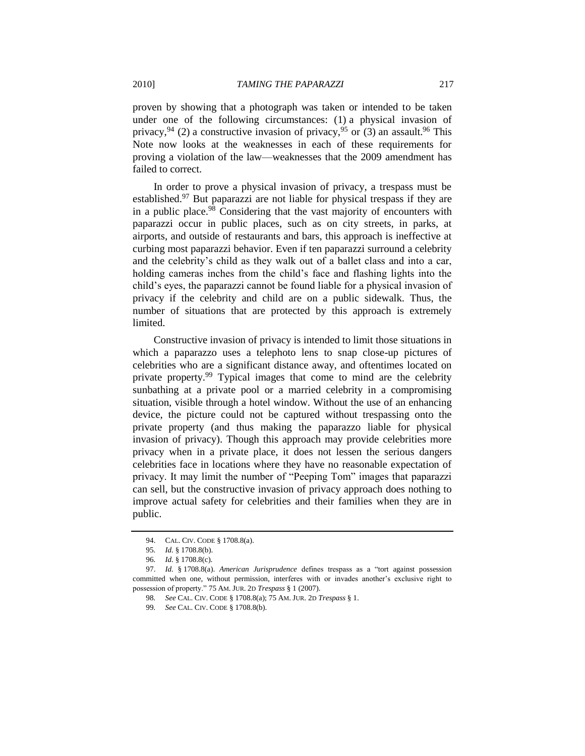proven by showing that a photograph was taken or intended to be taken under one of the following circumstances: (1) a physical invasion of privacy, <sup>94</sup> (2) a constructive invasion of privacy, <sup>95</sup> or (3) an assault. <sup>96</sup> This Note now looks at the weaknesses in each of these requirements for proving a violation of the law—weaknesses that the 2009 amendment has failed to correct.

<span id="page-16-0"></span>In order to prove a physical invasion of privacy, a trespass must be established.<sup>97</sup> But paparazzi are not liable for physical trespass if they are in a public place.<sup>98</sup> Considering that the vast majority of encounters with paparazzi occur in public places, such as on city streets, in parks, at airports, and outside of restaurants and bars, this approach is ineffective at curbing most paparazzi behavior. Even if ten paparazzi surround a celebrity and the celebrity's child as they walk out of a ballet class and into a car, holding cameras inches from the child's face and flashing lights into the child's eyes, the paparazzi cannot be found liable for a physical invasion of privacy if the celebrity and child are on a public sidewalk. Thus, the number of situations that are protected by this approach is extremely limited.

Constructive invasion of privacy is intended to limit those situations in which a paparazzo uses a telephoto lens to snap close-up pictures of celebrities who are a significant distance away, and oftentimes located on private property.<sup>99</sup> Typical images that come to mind are the celebrity sunbathing at a private pool or a married celebrity in a compromising situation, visible through a hotel window. Without the use of an enhancing device, the picture could not be captured without trespassing onto the private property (and thus making the paparazzo liable for physical invasion of privacy). Though this approach may provide celebrities more privacy when in a private place, it does not lessen the serious dangers celebrities face in locations where they have no reasonable expectation of privacy. It may limit the number of "Peeping Tom" images that paparazzi can sell, but the constructive invasion of privacy approach does nothing to improve actual safety for celebrities and their families when they are in public.

<sup>94.</sup> CAL. CIV. CODE § 1708.8(a).

<sup>95</sup>*. Id.* § 1708.8(b).

<sup>96</sup>*. Id.* § 1708.8(c).

<sup>97.</sup> *Id.* § 1708.8(a). *American Jurisprudence* defines trespass as a "tort against possession committed when one, without permission, interferes with or invades another's exclusive right to possession of property.‖ 75 AM. JUR. 2D *Trespass* § 1 (2007).

<sup>98</sup>*. See* CAL. CIV. CODE § 1708.8(a); 75 AM. JUR. 2D *Trespass* § 1.

<sup>99</sup>*. See* CAL. CIV. CODE § 1708.8(b).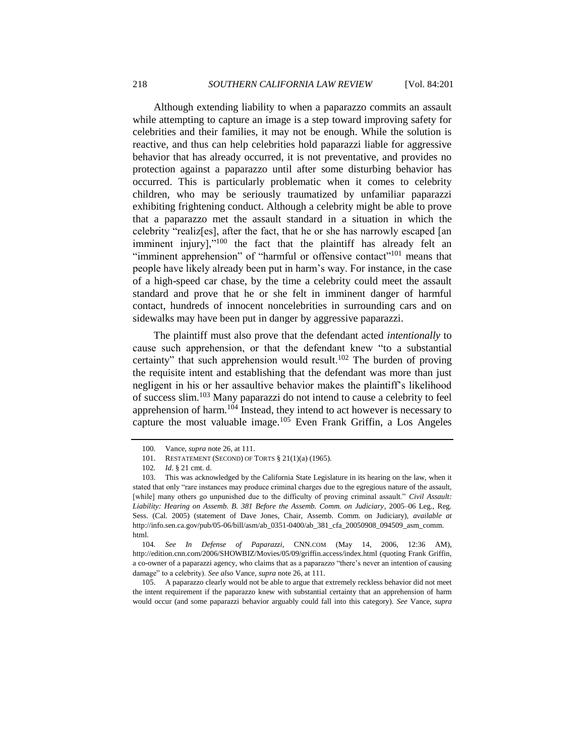Although extending liability to when a paparazzo commits an assault while attempting to capture an image is a step toward improving safety for celebrities and their families, it may not be enough. While the solution is reactive, and thus can help celebrities hold paparazzi liable for aggressive behavior that has already occurred, it is not preventative, and provides no protection against a paparazzo until after some disturbing behavior has occurred. This is particularly problematic when it comes to celebrity children, who may be seriously traumatized by unfamiliar paparazzi exhibiting frightening conduct. Although a celebrity might be able to prove that a paparazzo met the assault standard in a situation in which the celebrity "realiz[es], after the fact, that he or she has narrowly escaped [an imminent injury], $v^{100}$  the fact that the plaintiff has already felt an "imminent apprehension" of "harmful or offensive contact"<sup>101</sup> means that people have likely already been put in harm's way. For instance, in the case of a high-speed car chase, by the time a celebrity could meet the assault standard and prove that he or she felt in imminent danger of harmful contact, hundreds of innocent noncelebrities in surrounding cars and on sidewalks may have been put in danger by aggressive paparazzi.

The plaintiff must also prove that the defendant acted *intentionally* to cause such apprehension, or that the defendant knew "to a substantial certainty" that such apprehension would result.<sup>102</sup> The burden of proving the requisite intent and establishing that the defendant was more than just negligent in his or her assaultive behavior makes the plaintiff's likelihood of success slim. <sup>103</sup> Many paparazzi do not intend to cause a celebrity to feel apprehension of harm. $104$  Instead, they intend to act however is necessary to capture the most valuable image. $105$  Even Frank Griffin, a Los Angeles

105. A paparazzo clearly would not be able to argue that extremely reckless behavior did not meet the intent requirement if the paparazzo knew with substantial certainty that an apprehension of harm would occur (and some paparazzi behavior arguably could fall into this category). *See* Vance, *supra*

<span id="page-17-0"></span><sup>100</sup>*.* Vance, *supra* not[e 26,](#page-5-1) at 111.

<sup>101.</sup> RESTATEMENT (SECOND) OF TORTS § 21(1)(a) (1965).

<sup>102</sup>*. Id*. § 21 cmt. d.

<sup>103.</sup> This was acknowledged by the California State Legislature in its hearing on the law, when it stated that only "rare instances may produce criminal charges due to the egregious nature of the assault, [while] many others go unpunished due to the difficulty of proving criminal assault." *Civil Assault: Liability: Hearing on Assemb. B. 381 Before the Assemb. Comm. on Judiciary*, 2005–06 Leg., Reg. Sess. (Cal. 2005) (statement of Dave Jones, Chair, Assemb. Comm. on Judiciary), *available at* http://info.sen.ca.gov/pub/05-06/bill/asm/ab\_0351-0400/ab\_381\_cfa\_20050908\_094509\_asm\_comm. html.

<sup>104</sup>*. See In Defense of Paparazzi*, CNN.COM (May 14, 2006, 12:36 AM), http://edition.cnn.com/2006/SHOWBIZ/Movies/05/09/griffin.access/index.html (quoting Frank Griffin, a co-owner of a paparazzi agency, who claims that as a paparazzo "there's never an intention of causing damage" to a celebrity). See also Vance, *supra* not[e 26,](#page-5-1) at 111.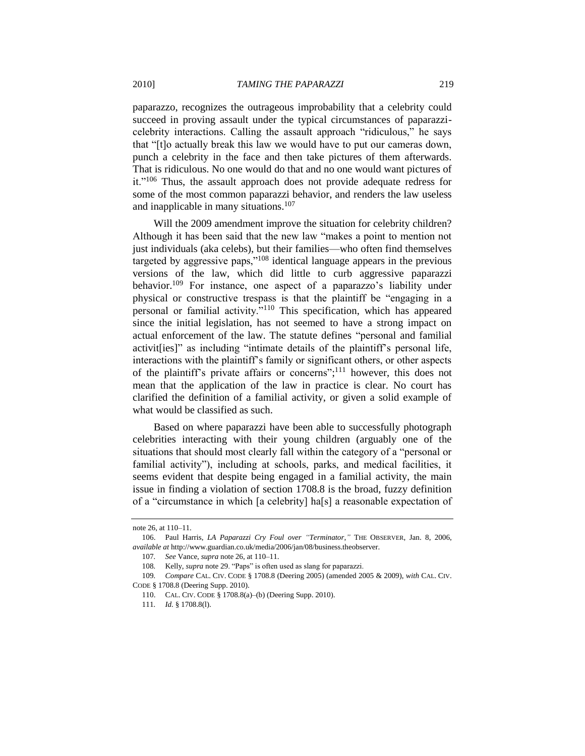paparazzo, recognizes the outrageous improbability that a celebrity could succeed in proving assault under the typical circumstances of paparazzicelebrity interactions. Calling the assault approach "ridiculous," he says that "[t]o actually break this law we would have to put our cameras down, punch a celebrity in the face and then take pictures of them afterwards. That is ridiculous. No one would do that and no one would want pictures of it."<sup>106</sup> Thus, the assault approach does not provide adequate redress for some of the most common paparazzi behavior, and renders the law useless and inapplicable in many situations. $107$ 

Will the 2009 amendment improve the situation for celebrity children? Although it has been said that the new law "makes a point to mention not just individuals (aka celebs), but their families—who often find themselves targeted by aggressive paps, $v^{108}$  identical language appears in the previous versions of the law, which did little to curb aggressive paparazzi behavior.<sup>109</sup> For instance, one aspect of a paparazzo's liability under physical or constructive trespass is that the plaintiff be "engaging in a personal or familial activity."<sup>110</sup> This specification, which has appeared since the initial legislation, has not seemed to have a strong impact on actual enforcement of the law. The statute defines "personal and familial activites]" as including "intimate details of the plaintiff's personal life, interactions with the plaintiff's family or significant others, or other aspects of the plaintiff's private affairs or concerns";<sup>111</sup> however, this does not mean that the application of the law in practice is clear. No court has clarified the definition of a familial activity, or given a solid example of what would be classified as such.

Based on where paparazzi have been able to successfully photograph celebrities interacting with their young children (arguably one of the situations that should most clearly fall within the category of a "personal or familial activity"), including at schools, parks, and medical facilities, it seems evident that despite being engaged in a familial activity, the main issue in finding a violation of section 1708.8 is the broad, fuzzy definition of a ―circumstance in which [a celebrity] ha[s] a reasonable expectation of

note [26,](#page-5-1) at 110–11.

<sup>106.</sup> Paul Harris, *LA Paparazzi Cry Foul over "Terminator*," THE OBSERVER, Jan. 8, 2006, *available at* http://www.guardian.co.uk/media/2006/jan/08/business.theobserver.

<sup>107</sup>*. See* Vance, *supra* not[e 26,](#page-5-1) at 110–11.

<sup>108.</sup> Kelly, *supra* note [29.](#page-6-1) "Paps" is often used as slang for paparazzi.

<sup>109</sup>*. Compare* CAL. CIV. CODE § 1708.8 (Deering 2005) (amended 2005 & 2009), *with* CAL. CIV. CODE § 1708.8 (Deering Supp. 2010).

<sup>110.</sup> CAL. CIV. CODE § 1708.8(a)–(b) (Deering Supp. 2010).

<sup>111</sup>*. Id.* § 1708.8(l).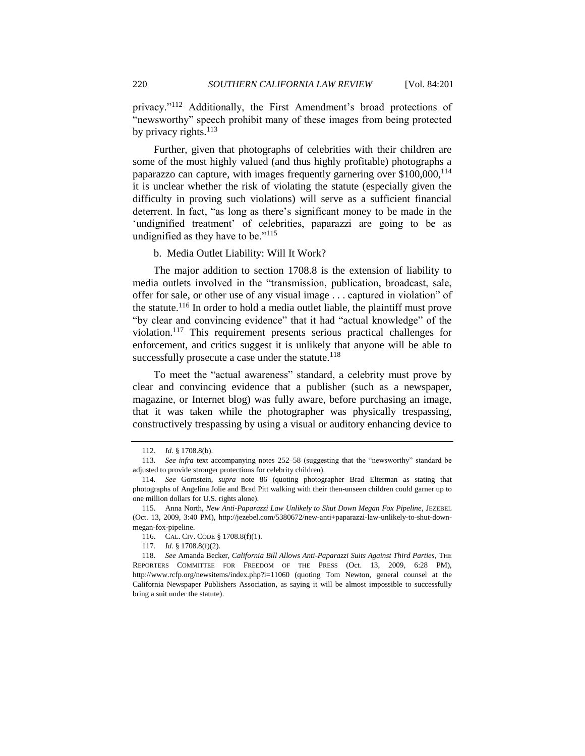privacy."<sup>112</sup> Additionally, the First Amendment's broad protections of "newsworthy" speech prohibit many of these images from being protected by privacy rights. $113$ 

Further, given that photographs of celebrities with their children are some of the most highly valued (and thus highly profitable) photographs a paparazzo can capture, with images frequently garnering over  $$100,000$ ,  $^{114}$ it is unclear whether the risk of violating the statute (especially given the difficulty in proving such violations) will serve as a sufficient financial deterrent. In fact, "as long as there's significant money to be made in the 'undignified treatment' of celebrities, paparazzi are going to be as undignified as they have to be."<sup>115</sup>

## b. Media Outlet Liability: Will It Work?

<span id="page-19-0"></span>The major addition to section 1708.8 is the extension of liability to media outlets involved in the "transmission, publication, broadcast, sale, offer for sale, or other use of any visual image ... captured in violation" of the statute.<sup>116</sup> In order to hold a media outlet liable, the plaintiff must prove "by clear and convincing evidence" that it had "actual knowledge" of the violation.<sup>117</sup> This requirement presents serious practical challenges for enforcement, and critics suggest it is unlikely that anyone will be able to successfully prosecute a case under the statute.<sup>118</sup>

<span id="page-19-1"></span>To meet the "actual awareness" standard, a celebrity must prove by clear and convincing evidence that a publisher (such as a newspaper, magazine, or Internet blog) was fully aware, before purchasing an image, that it was taken while the photographer was physically trespassing, constructively trespassing by using a visual or auditory enhancing device to

<sup>112</sup>*. Id.* § 1708.8(b).

<sup>113.</sup> See infra text accompanying notes 252-[58](#page-42-0) (suggesting that the "newsworthy" standard be adjusted to provide stronger protections for celebrity children).

<sup>114</sup>*. See* Gornstein, *supra* note [86](#page-14-1) (quoting photographer Brad Elterman as stating that photographs of Angelina Jolie and Brad Pitt walking with their then-unseen children could garner up to one million dollars for U.S. rights alone).

<sup>115.</sup> Anna North, *New Anti-Paparazzi Law Unlikely to Shut Down Megan Fox Pipeline*, JEZEBEL (Oct. 13, 2009, 3:40 PM), http://jezebel.com/5380672/new-anti+paparazzi-law-unlikely-to-shut-downmegan-fox-pipeline.

<sup>116.</sup> CAL. CIV. CODE § 1708.8(f)(1).

<sup>117</sup>*. Id*. § 1708.8(f)(2).

<sup>118</sup>*. See* Amanda Becker, *California Bill Allows Anti-Paparazzi Suits Against Third Parties*, THE REPORTERS COMMITTEE FOR FREEDOM OF THE PRESS (Oct. 13, 2009, 6:28 PM), http://www.rcfp.org/newsitems/index.php?i=11060 (quoting Tom Newton, general counsel at the California Newspaper Publishers Association, as saying it will be almost impossible to successfully bring a suit under the statute).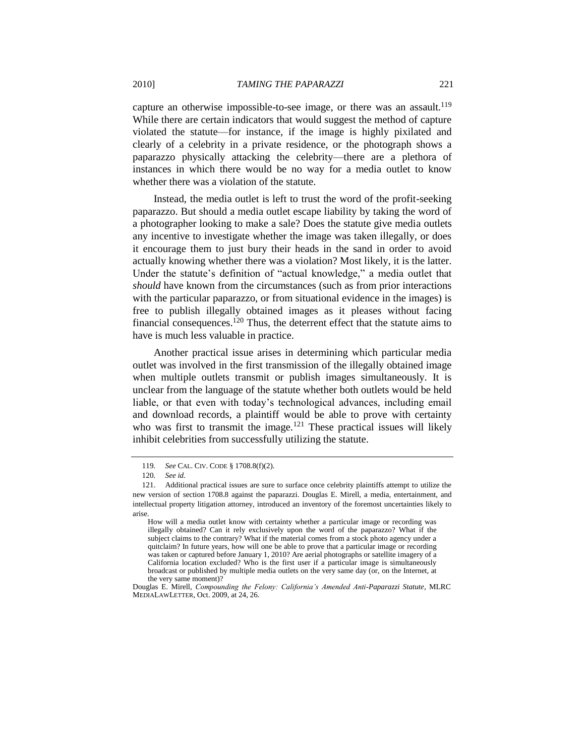capture an otherwise impossible-to-see image, or there was an assault.<sup>119</sup> While there are certain indicators that would suggest the method of capture violated the statute—for instance, if the image is highly pixilated and clearly of a celebrity in a private residence, or the photograph shows a paparazzo physically attacking the celebrity—there are a plethora of instances in which there would be no way for a media outlet to know whether there was a violation of the statute.

Instead, the media outlet is left to trust the word of the profit-seeking paparazzo. But should a media outlet escape liability by taking the word of a photographer looking to make a sale? Does the statute give media outlets any incentive to investigate whether the image was taken illegally, or does it encourage them to just bury their heads in the sand in order to avoid actually knowing whether there was a violation? Most likely, it is the latter. Under the statute's definition of "actual knowledge," a media outlet that *should* have known from the circumstances (such as from prior interactions with the particular paparazzo, or from situational evidence in the images) is free to publish illegally obtained images as it pleases without facing financial consequences.<sup>120</sup> Thus, the deterrent effect that the statute aims to have is much less valuable in practice.

Another practical issue arises in determining which particular media outlet was involved in the first transmission of the illegally obtained image when multiple outlets transmit or publish images simultaneously. It is unclear from the language of the statute whether both outlets would be held liable, or that even with today's technological advances, including email and download records, a plaintiff would be able to prove with certainty who was first to transmit the image.<sup>121</sup> These practical issues will likely inhibit celebrities from successfully utilizing the statute.

<sup>119</sup>*. See* CAL. CIV. CODE § 1708.8(f)(2).

<sup>120</sup>*. See id.*

<sup>121.</sup> Additional practical issues are sure to surface once celebrity plaintiffs attempt to utilize the new version of section 1708.8 against the paparazzi. Douglas E. Mirell, a media, entertainment, and intellectual property litigation attorney, introduced an inventory of the foremost uncertainties likely to arise.

How will a media outlet know with certainty whether a particular image or recording was illegally obtained? Can it rely exclusively upon the word of the paparazzo? What if the subject claims to the contrary? What if the material comes from a stock photo agency under a quitclaim? In future years, how will one be able to prove that a particular image or recording was taken or captured before January 1, 2010? Are aerial photographs or satellite imagery of a California location excluded? Who is the first user if a particular image is simultaneously broadcast or published by multiple media outlets on the very same day (or, on the Internet, at the very same moment)?

Douglas E. Mirell, *Compounding the Felony: California's Amended Anti-Paparazzi Statute*, MLRC MEDIALAWLETTER, Oct. 2009, at 24, 26.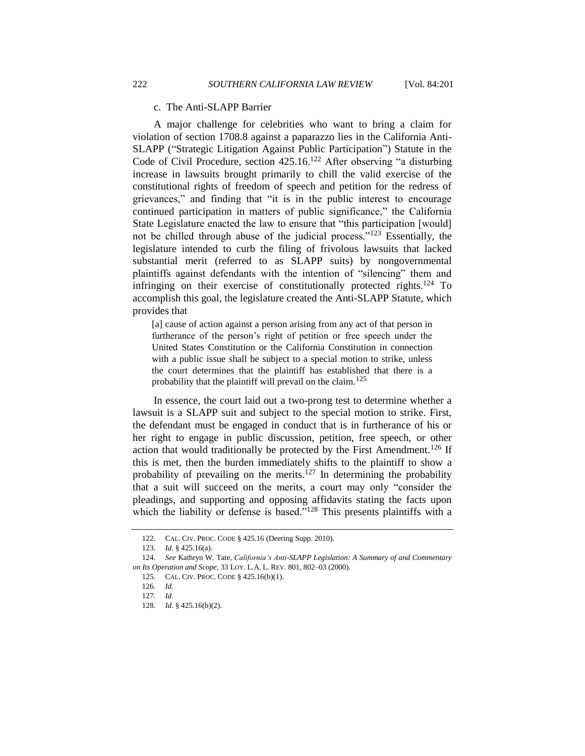#### c. The Anti-SLAPP Barrier

<span id="page-21-0"></span>A major challenge for celebrities who want to bring a claim for violation of section 1708.8 against a paparazzo lies in the California Anti-SLAPP ("Strategic Litigation Against Public Participation") Statute in the Code of Civil Procedure, section 425.16.<sup>122</sup> After observing "a disturbing increase in lawsuits brought primarily to chill the valid exercise of the constitutional rights of freedom of speech and petition for the redress of grievances," and finding that "it is in the public interest to encourage continued participation in matters of public significance," the California State Legislature enacted the law to ensure that "this participation [would] not be chilled through abuse of the judicial process." $123$  Essentially, the legislature intended to curb the filing of frivolous lawsuits that lacked substantial merit (referred to as SLAPP suits) by nongovernmental plaintiffs against defendants with the intention of "silencing" them and infringing on their exercise of constitutionally protected rights. $124$  To accomplish this goal, the legislature created the Anti-SLAPP Statute, which provides that

<span id="page-21-3"></span><span id="page-21-1"></span>[a] cause of action against a person arising from any act of that person in furtherance of the person's right of petition or free speech under the United States Constitution or the California Constitution in connection with a public issue shall be subject to a special motion to strike, unless the court determines that the plaintiff has established that there is a probability that the plaintiff will prevail on the claim.<sup>125</sup>

In essence, the court laid out a two-prong test to determine whether a lawsuit is a SLAPP suit and subject to the special motion to strike. First, the defendant must be engaged in conduct that is in furtherance of his or her right to engage in public discussion, petition, free speech, or other action that would traditionally be protected by the First Amendment.<sup>126</sup> If this is met, then the burden immediately shifts to the plaintiff to show a probability of prevailing on the merits.<sup>127</sup> In determining the probability that a suit will succeed on the merits, a court may only "consider the pleadings, and supporting and opposing affidavits stating the facts upon which the liability or defense is based."<sup>128</sup> This presents plaintiffs with a

<span id="page-21-2"></span><sup>122.</sup> CAL. CIV. PROC. CODE § 425.16 (Deering Supp. 2010).

<sup>123.</sup> *Id.* § 425.16(a).

<sup>124</sup>*. See* Kathryn W. Tate, *California's Anti-SLAPP Legislation: A Summary of and Commentary on Its Operation and Scope*, 33 LOY. L.A. L. REV. 801, 802–03 (2000).

<sup>125.</sup> CAL. CIV. PROC. CODE § 425.16(b)(1).

<sup>126</sup>*. Id.*

<sup>127</sup>*. Id.*

<sup>128</sup>*. Id.* § 425.16(b)(2).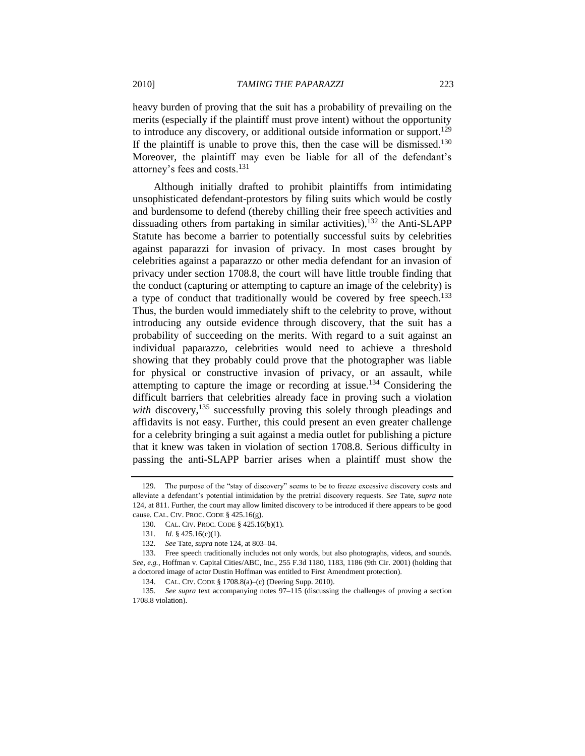heavy burden of proving that the suit has a probability of prevailing on the merits (especially if the plaintiff must prove intent) without the opportunity to introduce any discovery, or additional outside information or support.<sup>129</sup> If the plaintiff is unable to prove this, then the case will be dismissed.<sup>130</sup> Moreover, the plaintiff may even be liable for all of the defendant's attorney's fees and costs.<sup>131</sup>

Although initially drafted to prohibit plaintiffs from intimidating unsophisticated defendant-protestors by filing suits which would be costly and burdensome to defend (thereby chilling their free speech activities and dissuading others from partaking in similar activities), $132$  the Anti-SLAPP Statute has become a barrier to potentially successful suits by celebrities against paparazzi for invasion of privacy. In most cases brought by celebrities against a paparazzo or other media defendant for an invasion of privacy under section 1708.8, the court will have little trouble finding that the conduct (capturing or attempting to capture an image of the celebrity) is a type of conduct that traditionally would be covered by free speech.<sup>133</sup> Thus, the burden would immediately shift to the celebrity to prove, without introducing any outside evidence through discovery, that the suit has a probability of succeeding on the merits. With regard to a suit against an individual paparazzo, celebrities would need to achieve a threshold showing that they probably could prove that the photographer was liable for physical or constructive invasion of privacy, or an assault, while attempting to capture the image or recording at issue.<sup>134</sup> Considering the difficult barriers that celebrities already face in proving such a violation *with* discovery,  $^{135}$  successfully proving this solely through pleadings and affidavits is not easy. Further, this could present an even greater challenge for a celebrity bringing a suit against a media outlet for publishing a picture that it knew was taken in violation of section 1708.8. Serious difficulty in passing the anti-SLAPP barrier arises when a plaintiff must show the

<sup>129.</sup> The purpose of the "stay of discovery" seems to be to freeze excessive discovery costs and alleviate a defendant's potential intimidation by the pretrial discovery requests. *See* Tate, *supra* note [124,](#page-21-3) at 811. Further, the court may allow limited discovery to be introduced if there appears to be good cause. CAL. CIV. PROC. CODE § 425.16(g).

<sup>130</sup>*.* CAL. CIV. PROC. CODE § 425.16(b)(1).

<sup>131</sup>*. Id.* § 425.16(c)(1).

<sup>132</sup>*. See* Tate, *supra* not[e 124,](#page-21-3) at 803–04.

<sup>133.</sup> Free speech traditionally includes not only words, but also photographs, videos, and sounds. *See, e.g.*, Hoffman v. Capital Cities/ABC, Inc., 255 F.3d 1180, 1183, 1186 (9th Cir. 2001) (holding that a doctored image of actor Dustin Hoffman was entitled to First Amendment protection).

<sup>134.</sup> CAL. CIV. CODE § 1708.8(a)–(c) (Deering Supp. 2010).

<sup>135</sup>*. See supra* text accompanying notes [97–](#page-16-0)115 (discussing the challenges of proving a section 1708.8 violation).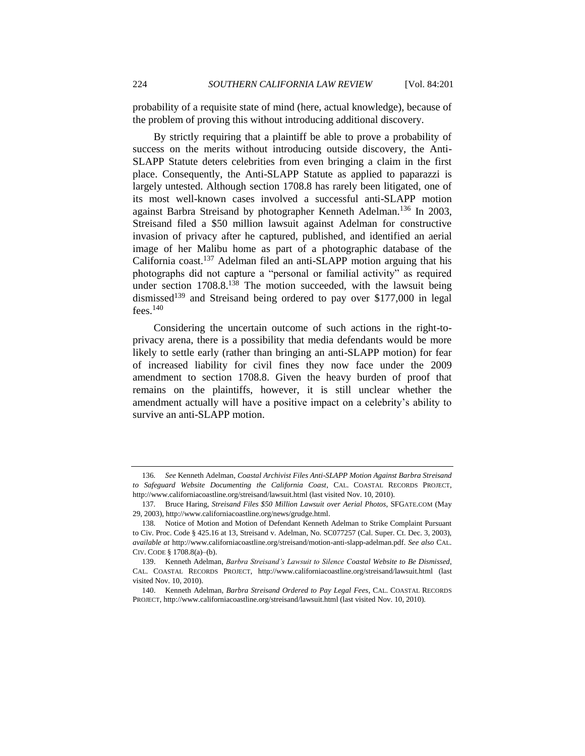probability of a requisite state of mind (here, actual knowledge), because of the problem of proving this without introducing additional discovery.

By strictly requiring that a plaintiff be able to prove a probability of success on the merits without introducing outside discovery, the Anti-SLAPP Statute deters celebrities from even bringing a claim in the first place. Consequently, the Anti-SLAPP Statute as applied to paparazzi is largely untested. Although section 1708.8 has rarely been litigated, one of its most well-known cases involved a successful anti-SLAPP motion against Barbra Streisand by photographer Kenneth Adelman.<sup>136</sup> In 2003, Streisand filed a \$50 million lawsuit against Adelman for constructive invasion of privacy after he captured, published, and identified an aerial image of her Malibu home as part of a photographic database of the California coast.<sup>137</sup> Adelman filed an anti-SLAPP motion arguing that his photographs did not capture a "personal or familial activity" as required under section  $1708.8^{138}$  The motion succeeded, with the lawsuit being dismissed<sup>139</sup> and Streisand being ordered to pay over \$177,000 in legal  $fees.$ <sup>140</sup>

Considering the uncertain outcome of such actions in the right-toprivacy arena, there is a possibility that media defendants would be more likely to settle early (rather than bringing an anti-SLAPP motion) for fear of increased liability for civil fines they now face under the 2009 amendment to section 1708.8. Given the heavy burden of proof that remains on the plaintiffs, however, it is still unclear whether the amendment actually will have a positive impact on a celebrity's ability to survive an anti-SLAPP motion.

<sup>136</sup>*. See* Kenneth Adelman, *Coastal Archivist Files Anti-SLAPP Motion Against Barbra Streisand to Safeguard Website Documenting the California Coast*, CAL. COASTAL RECORDS PROJECT, http://www.californiacoastline.org/streisand/lawsuit.html (last visited Nov. 10, 2010).

<sup>137</sup>*.* Bruce Haring, *Streisand Files \$50 Million Lawsuit over Aerial Photos*, SFGATE.COM (May 29, 2003), http://www.californiacoastline.org/news/grudge.html.

<sup>138</sup>*.* Notice of Motion and Motion of Defendant Kenneth Adelman to Strike Complaint Pursuant to Civ. Proc. Code § 425.16 at 13, Streisand v. Adelman, No. SC077257 (Cal. Super. Ct. Dec. 3, 2003), *available at* http://www.californiacoastline.org/streisand/motion-anti-slapp-adelman.pdf. *See also* CAL. CIV. CODE § 1708.8(a)–(b).

<sup>139.</sup> Kenneth Adelman, *Barbra Streisand's Lawsuit to Silence Coastal Website to Be Dismissed*, CAL. COASTAL RECORDS PROJECT, http://www.californiacoastline.org/streisand/lawsuit.html (last visited Nov. 10, 2010).

<sup>140.</sup> Kenneth Adelman, *Barbra Streisand Ordered to Pay Legal Fees*, CAL. COASTAL RECORDS PROJECT, http://www.californiacoastline.org/streisand/lawsuit.html (last visited Nov. 10, 2010).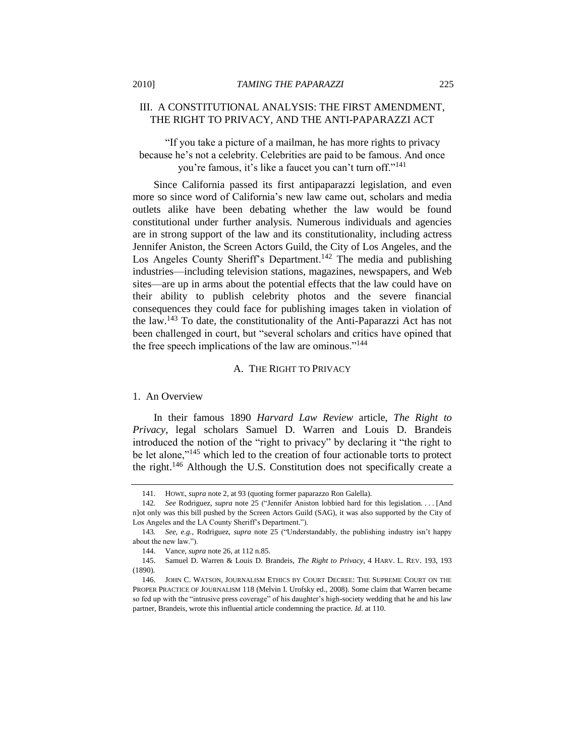## <span id="page-24-0"></span>III. A CONSTITUTIONAL ANALYSIS: THE FIRST AMENDMENT, THE RIGHT TO PRIVACY, AND THE ANTI-PAPARAZZI ACT

"If you take a picture of a mailman, he has more rights to privacy" because he's not a celebrity. Celebrities are paid to be famous. And once you're famous, it's like a faucet you can't turn off."<sup>141</sup>

Since California passed its first antipaparazzi legislation, and even more so since word of California's new law came out, scholars and media outlets alike have been debating whether the law would be found constitutional under further analysis. Numerous individuals and agencies are in strong support of the law and its constitutionality, including actress Jennifer Aniston, the Screen Actors Guild, the City of Los Angeles, and the Los Angeles County Sheriff's Department.<sup>142</sup> The media and publishing industries—including television stations, magazines, newspapers, and Web sites—are up in arms about the potential effects that the law could have on their ability to publish celebrity photos and the severe financial consequences they could face for publishing images taken in violation of the law.<sup>143</sup> To date, the constitutionality of the Anti-Paparazzi Act has not been challenged in court, but "several scholars and critics have opined that the free speech implications of the law are ominous."<sup>144</sup>

#### A. THE RIGHT TO PRIVACY

#### <span id="page-24-2"></span><span id="page-24-1"></span>1. An Overview

In their famous 1890 *Harvard Law Review* article, *The Right to Privacy*, legal scholars Samuel D. Warren and Louis D. Brandeis introduced the notion of the "right to privacy" by declaring it "the right to be let alone," $145$  which led to the creation of four actionable torts to protect the right.<sup>146</sup> Although the U.S. Constitution does not specifically create a

<span id="page-24-3"></span><sup>141.</sup> HOWE, *supra* not[e 2,](#page-2-1) at 93 (quoting former paparazzo Ron Galella).

<sup>142.</sup> *See Rodriguez, supra note [25](#page-5-0) ("Jennifer Aniston lobbied hard for this legislation.... [And* n]ot only was this bill pushed by the Screen Actors Guild (SAG), it was also supported by the City of Los Angeles and the LA County Sheriff's Department.").

<sup>143.</sup> *See, e.g.*, Rodriguez, *supra* note [25](#page-5-0) ("Understandably, the publishing industry isn't happy about the new law.").

<sup>144.</sup> Vance, *supra* not[e 26,](#page-5-1) at 112 n.85.

<sup>145.</sup> Samuel D. Warren & Louis D. Brandeis, *The Right to Privacy*, 4 HARV. L. REV. 193, 193 (1890).

<sup>146.</sup> JOHN C. WATSON, JOURNALISM ETHICS BY COURT DECREE: THE SUPREME COURT ON THE PROPER PRACTICE OF JOURNALISM 118 (Melvin I. Urofsky ed., 2008). Some claim that Warren became so fed up with the "intrusive press coverage" of his daughter's high-society wedding that he and his law partner, Brandeis, wrote this influential article condemning the practice. *Id.* at 110.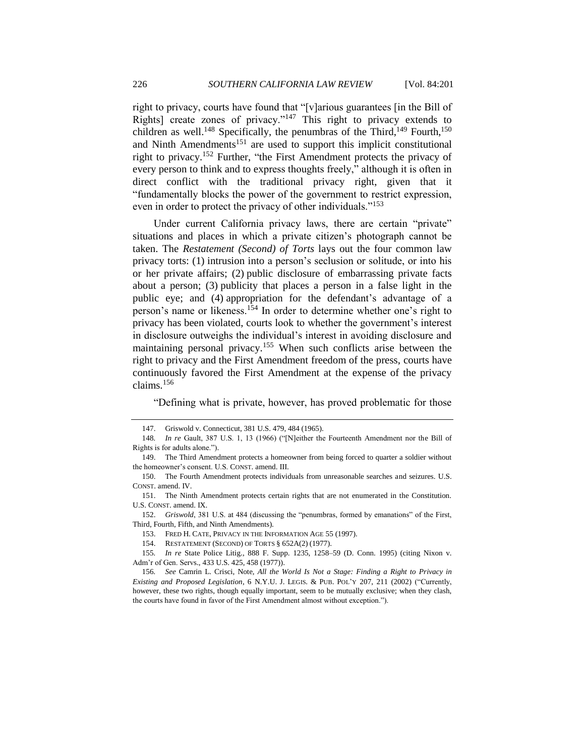right to privacy, courts have found that "[v]arious guarantees [in the Bill of Rights] create zones of privacy."<sup>147</sup> This right to privacy extends to children as well.<sup>148</sup> Specifically, the penumbras of the Third,<sup>149</sup> Fourth,<sup>150</sup> and Ninth Amendments<sup>151</sup> are used to support this implicit constitutional right to privacy.<sup>152</sup> Further, "the First Amendment protects the privacy of every person to think and to express thoughts freely," although it is often in direct conflict with the traditional privacy right, given that it ―fundamentally blocks the power of the government to restrict expression, even in order to protect the privacy of other individuals."<sup>153</sup>

Under current California privacy laws, there are certain "private" situations and places in which a private citizen's photograph cannot be taken. The *Restatement (Second) of Torts* lays out the four common law privacy torts: (1) intrusion into a person's seclusion or solitude, or into his or her private affairs; (2) public disclosure of embarrassing private facts about a person; (3) publicity that places a person in a false light in the public eye; and (4) appropriation for the defendant's advantage of a person's name or likeness.<sup>154</sup> In order to determine whether one's right to privacy has been violated, courts look to whether the government's interest in disclosure outweighs the individual's interest in avoiding disclosure and maintaining personal privacy.<sup>155</sup> When such conflicts arise between the right to privacy and the First Amendment freedom of the press, courts have continuously favored the First Amendment at the expense of the privacy claims.<sup>156</sup>

<span id="page-25-0"></span>―Defining what is private, however, has proved problematic for those

152. *Griswold*, 381 U.S. at 484 (discussing the "penumbras, formed by emanations" of the First, Third, Fourth, Fifth, and Ninth Amendments).

<sup>147.</sup> Griswold v. Connecticut, 381 U.S. 479, 484 (1965).

<sup>148.</sup> *In re* Gault, 387 U.S. 1, 13 (1966) ("[N]either the Fourteenth Amendment nor the Bill of Rights is for adults alone.").

<sup>149.</sup> The Third Amendment protects a homeowner from being forced to quarter a soldier without the homeowner's consent. U.S. CONST. amend. III.

<sup>150.</sup> The Fourth Amendment protects individuals from unreasonable searches and seizures. U.S. CONST. amend. IV.

<sup>151.</sup> The Ninth Amendment protects certain rights that are not enumerated in the Constitution. U.S. CONST. amend. IX.

<sup>153.</sup> FRED H. CATE, PRIVACY IN THE INFORMATION AGE 55 (1997).

<sup>154.</sup> RESTATEMENT (SECOND) OF TORTS § 652A(2) (1977).

<sup>155</sup>*. In re* State Police Litig., 888 F. Supp. 1235, 1258–59 (D. Conn. 1995) (citing Nixon v. Adm'r of Gen. Servs., 433 U.S. 425, 458 (1977)).

<sup>156</sup>*. See* Camrin L. Crisci, Note, *All the World Is Not a Stage: Finding a Right to Privacy in Existing and Proposed Legislation*, 6 N.Y.U. J. LEGIS. & PUB. POL'Y 207, 211 (2002) ("Currently, however, these two rights, though equally important, seem to be mutually exclusive; when they clash, the courts have found in favor of the First Amendment almost without exception.").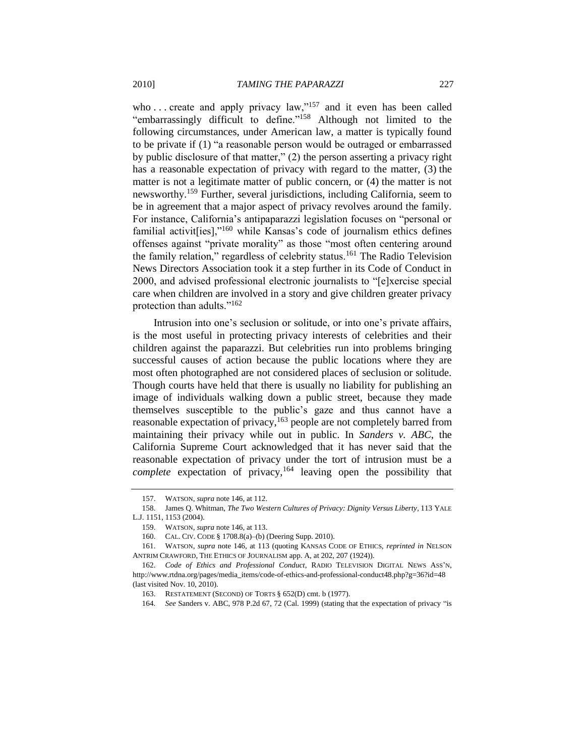who ... create and apply privacy law,"<sup>157</sup> and it even has been called "embarrassingly difficult to define."<sup>158</sup> Although not limited to the following circumstances, under American law, a matter is typically found to be private if (1) "a reasonable person would be outraged or embarrassed by public disclosure of that matter,"  $(2)$  the person asserting a privacy right has a reasonable expectation of privacy with regard to the matter, (3) the matter is not a legitimate matter of public concern, or (4) the matter is not newsworthy.<sup>159</sup> Further, several jurisdictions, including California, seem to be in agreement that a major aspect of privacy revolves around the family. For instance, California's antipaparazzi legislation focuses on "personal or familial activit[ies]," $160$  while Kansas's code of journalism ethics defines offenses against "private morality" as those "most often centering around the family relation," regardless of celebrity status.<sup>161</sup> The Radio Television News Directors Association took it a step further in its Code of Conduct in 2000, and advised professional electronic journalists to "[e]xercise special care when children are involved in a story and give children greater privacy protection than adults." $162$ 

Intrusion into one's seclusion or solitude, or into one's private affairs, is the most useful in protecting privacy interests of celebrities and their children against the paparazzi. But celebrities run into problems bringing successful causes of action because the public locations where they are most often photographed are not considered places of seclusion or solitude. Though courts have held that there is usually no liability for publishing an image of individuals walking down a public street, because they made themselves susceptible to the public's gaze and thus cannot have a reasonable expectation of privacy,  $163$  people are not completely barred from maintaining their privacy while out in public. In *Sanders v. ABC*, the California Supreme Court acknowledged that it has never said that the reasonable expectation of privacy under the tort of intrusion must be a *complete* expectation of privacy,<sup>164</sup> leaving open the possibility that

<span id="page-26-0"></span><sup>157.</sup> WATSON, *supra* not[e 146,](#page-24-3) at 112.

<sup>158.</sup> James Q. Whitman, *The Two Western Cultures of Privacy: Dignity Versus Liberty*, 113 YALE L.J. 1151, 1153 (2004).

<sup>159.</sup> WATSON, *supra* not[e 146,](#page-24-3) at 113.

<sup>160.</sup> CAL. CIV. CODE § 1708.8(a)–(b) (Deering Supp. 2010).

<sup>161.</sup> WATSON, *supra* note 146, at 113 (quoting KANSAS CODE OF ETHICS, *reprinted in* NELSON ANTRIM CRAWFORD, THE ETHICS OF JOURNALISM app. A, at 202, 207 (1924)).

<sup>162.</sup> *Code of Ethics and Professional Conduct*, RADIO TELEVISION DIGITAL NEWS ASS'N, http://www.rtdna.org/pages/media\_items/code-of-ethics-and-professional-conduct48.php?g=36?id=48 (last visited Nov. 10, 2010).

<sup>163.</sup> RESTATEMENT (SECOND) OF TORTS § 652(D) cmt. b (1977).

<sup>164.</sup> *See Sanders v. ABC, 978 P.2d 67, 72 (Cal. 1999) (stating that the expectation of privacy "is*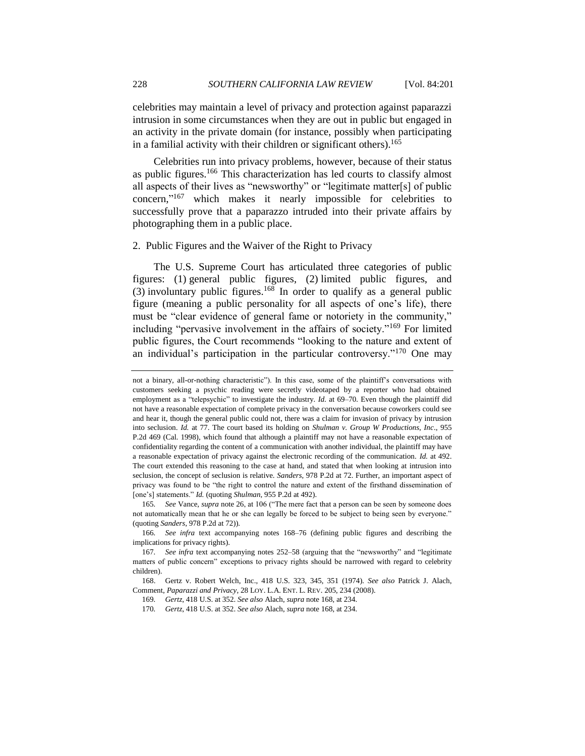celebrities may maintain a level of privacy and protection against paparazzi intrusion in some circumstances when they are out in public but engaged in an activity in the private domain (for instance, possibly when participating in a familial activity with their children or significant others).<sup>165</sup>

<span id="page-27-1"></span>Celebrities run into privacy problems, however, because of their status as public figures.<sup>166</sup> This characterization has led courts to classify almost all aspects of their lives as "newsworthy" or "legitimate matter[s] of public concern,"<sup>167</sup> which makes it nearly impossible for celebrities to successfully prove that a paparazzo intruded into their private affairs by photographing them in a public place.

#### <span id="page-27-0"></span>2. Public Figures and the Waiver of the Right to Privacy

<span id="page-27-2"></span>The U.S. Supreme Court has articulated three categories of public figures: (1) general public figures, (2) limited public figures, and (3) involuntary public figures.<sup>168</sup> In order to qualify as a general public figure (meaning a public personality for all aspects of one's life), there must be "clear evidence of general fame or notoriety in the community," including "pervasive involvement in the affairs of society."<sup>169</sup> For limited public figures, the Court recommends "looking to the nature and extent of an individual's participation in the particular controversy."<sup>170</sup> One may

not a binary, all-or-nothing characteristic"). In this case, some of the plaintiff's conversations with customers seeking a psychic reading were secretly videotaped by a reporter who had obtained employment as a "telepsychic" to investigate the industry. *Id.* at 69–70. Even though the plaintiff did not have a reasonable expectation of complete privacy in the conversation because coworkers could see and hear it, though the general public could not, there was a claim for invasion of privacy by intrusion into seclusion. *Id.* at 77. The court based its holding on *Shulman v. Group W Productions, Inc*., 955 P.2d 469 (Cal. 1998), which found that although a plaintiff may not have a reasonable expectation of confidentiality regarding the content of a communication with another individual, the plaintiff may have a reasonable expectation of privacy against the electronic recording of the communication. *Id.* at 492. The court extended this reasoning to the case at hand, and stated that when looking at intrusion into seclusion, the concept of seclusion is relative. *Sanders*, 978 P.2d at 72. Further, an important aspect of privacy was found to be "the right to control the nature and extent of the firsthand dissemination of [one's] statements." *Id.* (quoting *Shulman*, 955 P.2d at 492).

<sup>165.</sup> *See Vance, <i>supra* not[e 26,](#page-5-1) at 106 ("The mere fact that a person can be seen by someone does not automatically mean that he or she can legally be forced to be subject to being seen by everyone." (quoting *Sanders*, 978 P.2d at 72)).

<sup>166</sup>*. See infra* text accompanying notes [168–](#page-27-2)[76](#page-28-1) (defining public figures and describing the implications for privacy rights).

<sup>167.</sup> See infra text accompanying notes [252](#page-41-0)[–58](#page-42-0) (arguing that the "newsworthy" and "legitimate matters of public concern" exceptions to privacy rights should be narrowed with regard to celebrity children).

<sup>168.</sup> Gertz v. Robert Welch, Inc., 418 U.S. 323, 345, 351 (1974). *See also* Patrick J. Alach, Comment, *Paparazzi and Privacy*, 28 LOY. L.A. ENT. L. REV. 205, 234 (2008).

<sup>169</sup>*. Gertz*, 418 U.S. at 352. *See also* Alach, *supra* not[e 168,](#page-27-2) at 234.

<sup>170</sup>*. Gertz*, 418 U.S. at 352. *See also* Alach, *supra* not[e 168,](#page-27-2) at 234.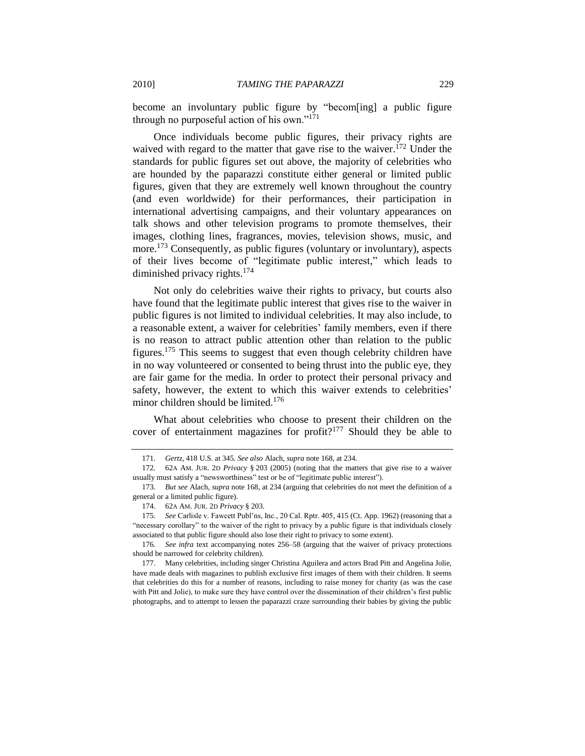become an involuntary public figure by "becom[ing] a public figure through no purposeful action of his own." $171$ 

<span id="page-28-0"></span>Once individuals become public figures, their privacy rights are waived with regard to the matter that gave rise to the waiver.<sup>172</sup> Under the standards for public figures set out above, the majority of celebrities who are hounded by the paparazzi constitute either general or limited public figures, given that they are extremely well known throughout the country (and even worldwide) for their performances, their participation in international advertising campaigns, and their voluntary appearances on talk shows and other television programs to promote themselves, their images, clothing lines, fragrances, movies, television shows, music, and more.<sup>173</sup> Consequently, as public figures (voluntary or involuntary), aspects of their lives become of "legitimate public interest," which leads to diminished privacy rights.<sup>174</sup>

Not only do celebrities waive their rights to privacy, but courts also have found that the legitimate public interest that gives rise to the waiver in public figures is not limited to individual celebrities. It may also include, to a reasonable extent, a waiver for celebrities' family members, even if there is no reason to attract public attention other than relation to the public figures.<sup>175</sup> This seems to suggest that even though celebrity children have in no way volunteered or consented to being thrust into the public eye, they are fair game for the media. In order to protect their personal privacy and safety, however, the extent to which this waiver extends to celebrities' minor children should be limited.<sup>176</sup>

<span id="page-28-1"></span>What about celebrities who choose to present their children on the cover of entertainment magazines for profit?<sup>177</sup> Should they be able to

<sup>171</sup>*. Gertz*, 418 U.S. at 345. *See also* Alach, *supra* not[e 168,](#page-27-2) at 234.

<sup>172</sup>*.* 62A AM. JUR. 2D *Privacy* § 203 (2005) (noting that the matters that give rise to a waiver usually must satisfy a "newsworthiness" test or be of "legitimate public interest").

<sup>173</sup>*. But see* Alach, *supra* not[e 168,](#page-27-2) at 234 (arguing that celebrities do not meet the definition of a general or a limited public figure).

<sup>174.</sup> 62A AM. JUR. 2D *Privacy* § 203.

<sup>175</sup>*. See* Carlisle v. Fawcett Publ'ns, Inc., 20 Cal. Rptr. 405, 415 (Ct. App. 1962) (reasoning that a "necessary corollary" to the waiver of the right to privacy by a public figure is that individuals closely associated to that public figure should also lose their right to privacy to some extent).

<sup>176</sup>*. See infra* text accompanying notes [256](#page-42-1)[–58](#page-42-0) (arguing that the waiver of privacy protections should be narrowed for celebrity children).

<sup>177.</sup> Many celebrities, including singer Christina Aguilera and actors Brad Pitt and Angelina Jolie, have made deals with magazines to publish exclusive first images of them with their children. It seems that celebrities do this for a number of reasons, including to raise money for charity (as was the case with Pitt and Jolie), to make sure they have control over the dissemination of their children's first public photographs, and to attempt to lessen the paparazzi craze surrounding their babies by giving the public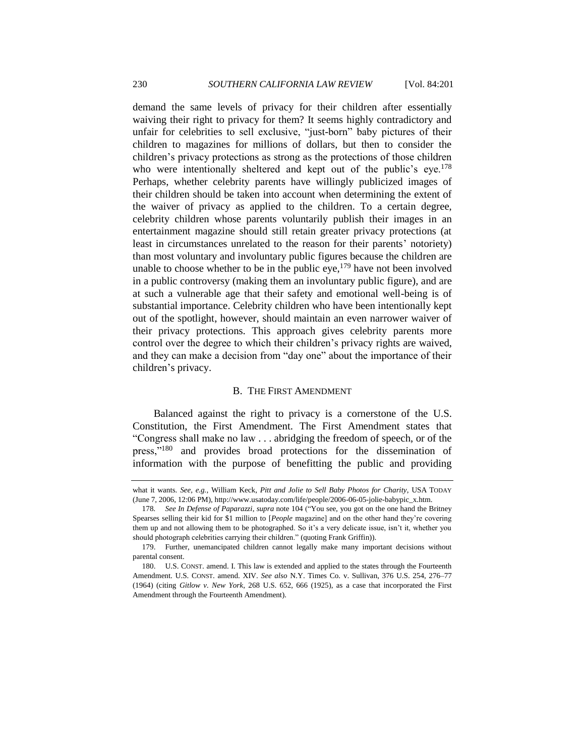demand the same levels of privacy for their children after essentially waiving their right to privacy for them? It seems highly contradictory and unfair for celebrities to sell exclusive, "just-born" baby pictures of their children to magazines for millions of dollars, but then to consider the children's privacy protections as strong as the protections of those children who were intentionally sheltered and kept out of the public's eye.<sup>178</sup> Perhaps, whether celebrity parents have willingly publicized images of their children should be taken into account when determining the extent of the waiver of privacy as applied to the children. To a certain degree, celebrity children whose parents voluntarily publish their images in an entertainment magazine should still retain greater privacy protections (at least in circumstances unrelated to the reason for their parents' notoriety) than most voluntary and involuntary public figures because the children are unable to choose whether to be in the public eye,  $179$  have not been involved in a public controversy (making them an involuntary public figure), and are at such a vulnerable age that their safety and emotional well-being is of substantial importance. Celebrity children who have been intentionally kept out of the spotlight, however, should maintain an even narrower waiver of their privacy protections. This approach gives celebrity parents more control over the degree to which their children's privacy rights are waived, and they can make a decision from "day one" about the importance of their children's privacy.

#### B. THE FIRST AMENDMENT

<span id="page-29-0"></span>Balanced against the right to privacy is a cornerstone of the U.S. Constitution, the First Amendment. The First Amendment states that ―Congress shall make no law . . . abridging the freedom of speech, or of the press,"<sup>180</sup> and provides broad protections for the dissemination of information with the purpose of benefitting the public and providing

what it wants. *See, e.g.*, William Keck, *Pitt and Jolie to Sell Baby Photos for Charity*, USA TODAY (June 7, 2006, 12:06 PM), http://www.usatoday.com/life/people/2006-06-05-jolie-babypic\_x.htm.

<sup>178.</sup> *See In Defense of Paparazzi, supra* note [104](#page-17-0) ("You see, you got on the one hand the Britney Spearses selling their kid for \$1 million to [*People* magazine] and on the other hand they're covering them up and not allowing them to be photographed. So it's a very delicate issue, isn't it, whether you should photograph celebrities carrying their children." (quoting Frank Griffin)).

<sup>179.</sup> Further, unemancipated children cannot legally make many important decisions without parental consent.

<sup>180.</sup> U.S. CONST. amend. I. This law is extended and applied to the states through the Fourteenth Amendment. U.S. CONST. amend. XIV. *See also* N.Y. Times Co. v. Sullivan, 376 U.S. 254, 276–77 (1964) (citing *Gitlow v. New York*, 268 U.S. 652, 666 (1925), as a case that incorporated the First Amendment through the Fourteenth Amendment).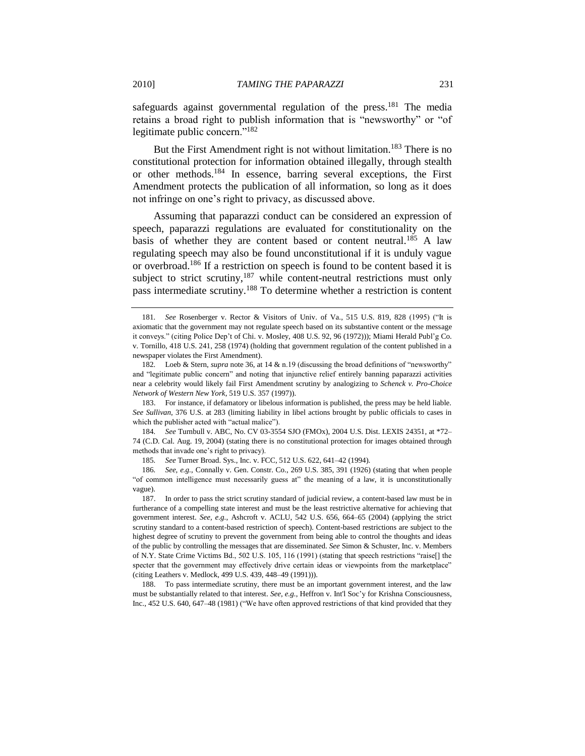safeguards against governmental regulation of the press.<sup>181</sup> The media retains a broad right to publish information that is "newsworthy" or "of legitimate public concern." $182$ 

But the First Amendment right is not without limitation.<sup>183</sup> There is no constitutional protection for information obtained illegally, through stealth or other methods.<sup>184</sup> In essence, barring several exceptions, the First Amendment protects the publication of all information, so long as it does not infringe on one's right to privacy, as discussed above.

Assuming that paparazzi conduct can be considered an expression of speech, paparazzi regulations are evaluated for constitutionality on the basis of whether they are content based or content neutral.<sup>185</sup> A law regulating speech may also be found unconstitutional if it is unduly vague or overbroad.<sup>186</sup> If a restriction on speech is found to be content based it is subject to strict scrutiny, $187$  while content-neutral restrictions must only pass intermediate scrutiny.<sup>188</sup> To determine whether a restriction is content

183. For instance, if defamatory or libelous information is published, the press may be held liable. *See Sullivan*, 376 U.S. at 283 (limiting liability in libel actions brought by public officials to cases in which the publisher acted with "actual malice").

184*. See* Turnbull v. ABC, No. CV 03-3554 SJO (FMOx), 2004 U.S. Dist. LEXIS 24351, at \*72– 74 (C.D. Cal. Aug. 19, 2004) (stating there is no constitutional protection for images obtained through methods that invade one's right to privacy).

185*. See* Turner Broad. Sys., Inc. v. FCC, 512 U.S. 622, 641–42 (1994).

186*. See, e.g.*, Connally v. Gen. Constr. Co., 269 U.S. 385, 391 (1926) (stating that when people ―of common intelligence must necessarily guess at‖ the meaning of a law, it is unconstitutionally vague).

187. In order to pass the strict scrutiny standard of judicial review, a content-based law must be in furtherance of a compelling state interest and must be the least restrictive alternative for achieving that government interest. *See, e.g.*, Ashcroft v. ACLU, 542 U.S. 656, 664–65 (2004) (applying the strict scrutiny standard to a content-based restriction of speech). Content-based restrictions are subject to the highest degree of scrutiny to prevent the government from being able to control the thoughts and ideas of the public by controlling the messages that are disseminated. *See* Simon & Schuster, Inc. v. Members of N.Y. State Crime Victims Bd., 502 U.S. 105, 116 (1991) (stating that speech restrictions "raise[] the specter that the government may effectively drive certain ideas or viewpoints from the marketplace" (citing Leathers v. Medlock, 499 U.S. 439, 448–49 (1991))).

188. To pass intermediate scrutiny, there must be an important government interest, and the law must be substantially related to that interest. *See, e.g.*, Heffron v. Int'l Soc'y for Krishna Consciousness, Inc., 452 U.S. 640, 647–48 (1981) ("We have often approved restrictions of that kind provided that they

<span id="page-30-0"></span><sup>181.</sup> *See* Rosenberger v. Rector & Visitors of Univ. of Va., 515 U.S. 819, 828 (1995) ("It is axiomatic that the government may not regulate speech based on its substantive content or the message it conveys.‖ (citing Police Dep't of Chi. v. Mosley, 408 U.S. 92, 96 (1972))); Miami Herald Publ'g Co. v. Tornillo, 418 U.S. 241, 258 (1974) (holding that government regulation of the content published in a newspaper violates the First Amendment).

<sup>182.</sup> Loeb & Stern, *supra* not[e 36,](#page-6-0) at 14 & n.19 (discussing the broad definitions of "newsworthy" and "legitimate public concern" and noting that injunctive relief entirely banning paparazzi activities near a celebrity would likely fail First Amendment scrutiny by analogizing to *Schenck v. Pro-Choice Network of Western New York*, 519 U.S. 357 (1997)).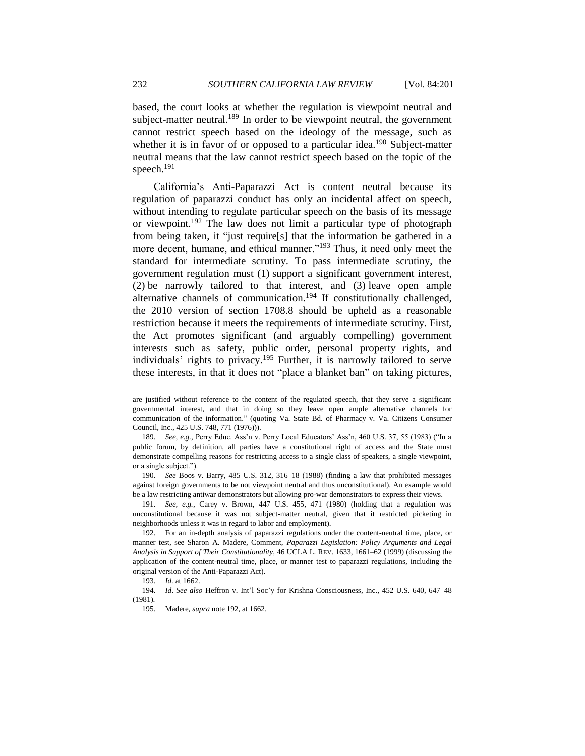based, the court looks at whether the regulation is viewpoint neutral and subject-matter neutral.<sup>189</sup> In order to be viewpoint neutral, the government cannot restrict speech based on the ideology of the message, such as whether it is in favor of or opposed to a particular idea.<sup>190</sup> Subject-matter neutral means that the law cannot restrict speech based on the topic of the speech.<sup>191</sup>

<span id="page-31-0"></span>California's Anti-Paparazzi Act is content neutral because its regulation of paparazzi conduct has only an incidental affect on speech, without intending to regulate particular speech on the basis of its message or viewpoint.<sup>192</sup> The law does not limit a particular type of photograph from being taken, it "just require[s] that the information be gathered in a more decent, humane, and ethical manner."<sup>193</sup> Thus, it need only meet the standard for intermediate scrutiny. To pass intermediate scrutiny, the government regulation must (1) support a significant government interest, (2) be narrowly tailored to that interest, and (3) leave open ample alternative channels of communication.<sup>194</sup> If constitutionally challenged, the 2010 version of section 1708.8 should be upheld as a reasonable restriction because it meets the requirements of intermediate scrutiny. First, the Act promotes significant (and arguably compelling) government interests such as safety, public order, personal property rights, and individuals' rights to privacy.<sup>195</sup> Further, it is narrowly tailored to serve these interests, in that it does not "place a blanket ban" on taking pictures,

are justified without reference to the content of the regulated speech, that they serve a significant governmental interest, and that in doing so they leave open ample alternative channels for communication of the information.‖ (quoting Va. State Bd. of Pharmacy v. Va. Citizens Consumer Council, Inc., 425 U.S. 748, 771 (1976))).

<sup>189.</sup> *See, e.g.*, Perry Educ. Ass'n v. Perry Local Educators' Ass'n, 460 U.S. 37, 55 (1983) ("In a public forum, by definition, all parties have a constitutional right of access and the State must demonstrate compelling reasons for restricting access to a single class of speakers, a single viewpoint, or a single subject.").

<sup>190</sup>*. See* Boos v. Barry, 485 U.S. 312, 316–18 (1988) (finding a law that prohibited messages against foreign governments to be not viewpoint neutral and thus unconstitutional). An example would be a law restricting antiwar demonstrators but allowing pro-war demonstrators to express their views.

<sup>191</sup>*. See, e.g.*, Carey v. Brown, 447 U.S. 455, 471 (1980) (holding that a regulation was unconstitutional because it was not subject-matter neutral, given that it restricted picketing in neighborhoods unless it was in regard to labor and employment).

<sup>192.</sup> For an in-depth analysis of paparazzi regulations under the content-neutral time, place, or manner test, see Sharon A. Madere, Comment, *Paparazzi Legislation: Policy Arguments and Legal Analysis in Support of Their Constitutionality*, 46 UCLA L. REV. 1633, 1661–62 (1999) (discussing the application of the content-neutral time, place, or manner test to paparazzi regulations, including the original version of the Anti-Paparazzi Act).

<sup>193</sup>*. Id.* at 1662.

<sup>194</sup>*. Id*. *See also* Heffron v. Int'l Soc'y for Krishna Consciousness, Inc., 452 U.S. 640, 647–48 (1981).

<sup>195</sup>*.* Madere, *supra* not[e 192,](#page-31-0) at 1662.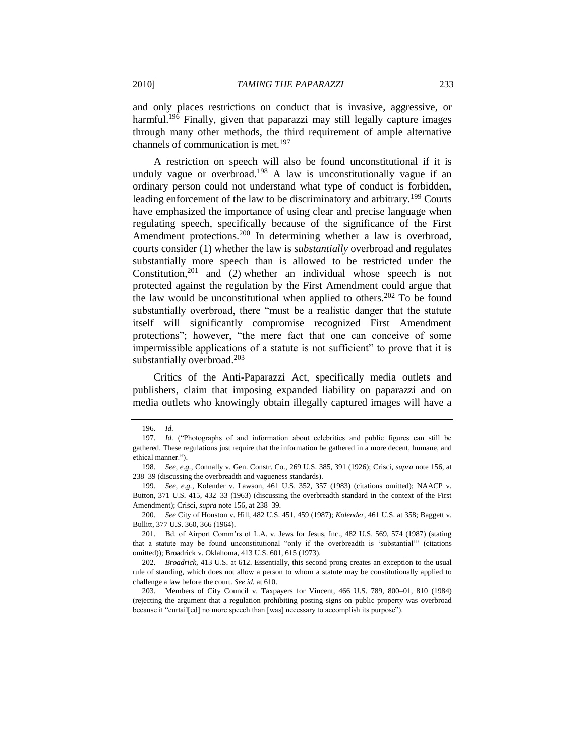and only places restrictions on conduct that is invasive, aggressive, or harmful.<sup>196</sup> Finally, given that paparazzi may still legally capture images through many other methods, the third requirement of ample alternative channels of communication is met.<sup>197</sup>

A restriction on speech will also be found unconstitutional if it is unduly vague or overbroad.<sup>198</sup> A law is unconstitutionally vague if an ordinary person could not understand what type of conduct is forbidden, leading enforcement of the law to be discriminatory and arbitrary.<sup>199</sup> Courts have emphasized the importance of using clear and precise language when regulating speech, specifically because of the significance of the First Amendment protections.<sup>200</sup> In determining whether a law is overbroad, courts consider (1) whether the law is *substantially* overbroad and regulates substantially more speech than is allowed to be restricted under the Constitution, $201$  and (2) whether an individual whose speech is not protected against the regulation by the First Amendment could argue that the law would be unconstitutional when applied to others.<sup>202</sup> To be found substantially overbroad, there "must be a realistic danger that the statute itself will significantly compromise recognized First Amendment protections"; however, "the mere fact that one can conceive of some impermissible applications of a statute is not sufficient" to prove that it is substantially overbroad.<sup>203</sup>

Critics of the Anti-Paparazzi Act, specifically media outlets and publishers, claim that imposing expanded liability on paparazzi and on media outlets who knowingly obtain illegally captured images will have a

<sup>196</sup>*. Id.*

<sup>197.</sup> *Id.* ("Photographs of and information about celebrities and public figures can still be gathered. These regulations just require that the information be gathered in a more decent, humane, and ethical manner.").

<sup>198</sup>*. See, e.g.*, Connally v. Gen. Constr. Co., 269 U.S. 385, 391 (1926); Crisci, *supra* note [156,](#page-25-0) at 238–39 (discussing the overbreadth and vagueness standards).

<sup>199</sup>*. See, e.g.*, Kolender v. Lawson, 461 U.S. 352, 357 (1983) (citations omitted); NAACP v. Button, 371 U.S. 415, 432–33 (1963) (discussing the overbreadth standard in the context of the First Amendment); Crisci, *supra* not[e 156,](#page-25-0) at 238–39.

<sup>200</sup>*. See* City of Houston v. Hill, 482 U.S. 451, 459 (1987); *Kolender*, 461 U.S. at 358; Baggett v. Bullitt, 377 U.S. 360, 366 (1964).

<sup>201</sup>*.* Bd. of Airport Comm'rs of L.A. v. Jews for Jesus, Inc., 482 U.S. 569, 574 (1987) (stating that a statute may be found unconstitutional "only if the overbreadth is 'substantial'" (citations omitted)); Broadrick v. Oklahoma, 413 U.S. 601, 615 (1973).

<sup>202</sup>*. Broadrick*, 413 U.S. at 612. Essentially, this second prong creates an exception to the usual rule of standing, which does not allow a person to whom a statute may be constitutionally applied to challenge a law before the court. *See id.* at 610.

<sup>203.</sup> Members of City Council v. Taxpayers for Vincent, 466 U.S. 789, 800–01, 810 (1984) (rejecting the argument that a regulation prohibiting posting signs on public property was overbroad because it "curtail[ed] no more speech than [was] necessary to accomplish its purpose").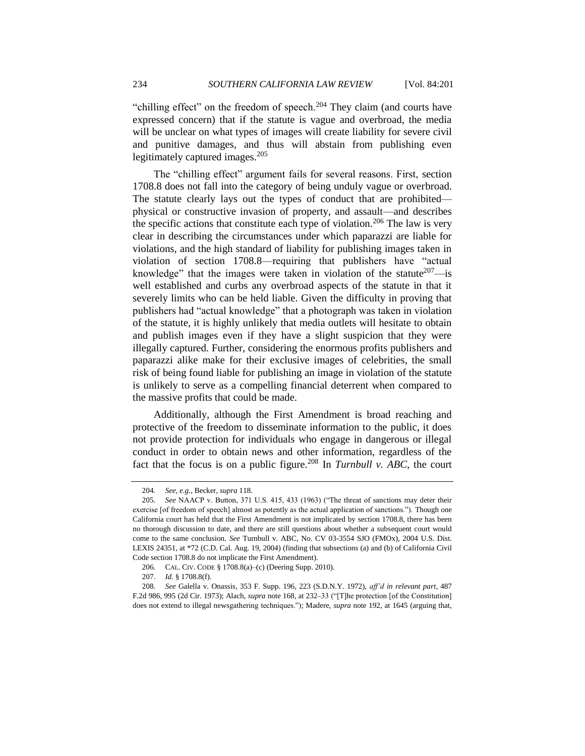"chilling effect" on the freedom of speech.<sup>204</sup> They claim (and courts have expressed concern) that if the statute is vague and overbroad, the media will be unclear on what types of images will create liability for severe civil and punitive damages, and thus will abstain from publishing even legitimately captured images.<sup>205</sup>

The "chilling effect" argument fails for several reasons. First, section 1708.8 does not fall into the category of being unduly vague or overbroad. The statute clearly lays out the types of conduct that are prohibited physical or constructive invasion of property, and assault—and describes the specific actions that constitute each type of violation.<sup>206</sup> The law is very clear in describing the circumstances under which paparazzi are liable for violations, and the high standard of liability for publishing images taken in violation of section 1708.8—requiring that publishers have "actual knowledge" that the images were taken in violation of the statute<sup>207</sup>—is well established and curbs any overbroad aspects of the statute in that it severely limits who can be held liable. Given the difficulty in proving that publishers had "actual knowledge" that a photograph was taken in violation of the statute, it is highly unlikely that media outlets will hesitate to obtain and publish images even if they have a slight suspicion that they were illegally captured. Further, considering the enormous profits publishers and paparazzi alike make for their exclusive images of celebrities, the small risk of being found liable for publishing an image in violation of the statute is unlikely to serve as a compelling financial deterrent when compared to the massive profits that could be made.

Additionally, although the First Amendment is broad reaching and protective of the freedom to disseminate information to the public, it does not provide protection for individuals who engage in dangerous or illegal conduct in order to obtain news and other information, regardless of the fact that the focus is on a public figure.<sup>208</sup> In *Turnbull v. ABC*, the court

<sup>204</sup>*. See, e.g.*, Becker, *supra* [118.](#page-19-1)

<sup>205.</sup> *See* NAACP v. Button, 371 U.S. 415, 433 (1963) ("The threat of sanctions may deter their exercise [of freedom of speech] almost as potently as the actual application of sanctions."). Though one California court has held that the First Amendment is not implicated by section 1708.8, there has been no thorough discussion to date, and there are still questions about whether a subsequent court would come to the same conclusion. *See* Turnbull v. ABC, No. CV 03-3554 SJO (FMOx), 2004 U.S. Dist. LEXIS 24351, at \*72 (C.D. Cal. Aug. 19, 2004) (finding that subsections (a) and (b) of California Civil Code section 1708.8 do not implicate the First Amendment).

<sup>206</sup>*.* CAL. CIV. CODE § 1708.8(a)–(c) (Deering Supp. 2010).

<sup>207.</sup> *Id.* § 1708.8(f).

<sup>208</sup>*. See* Galella v. Onassis, 353 F. Supp. 196, 223 (S.D.N.Y. 1972), *aff'd in relevant part*, 487 F.2d 986, 995 (2d Cir. 1973); Alach, *supra* note [168,](#page-27-2) at 232–33 ("[T]he protection [of the Constitution] does not extend to illegal newsgathering techniques."); Madere, *supra* note [192,](#page-31-0) at 1645 (arguing that,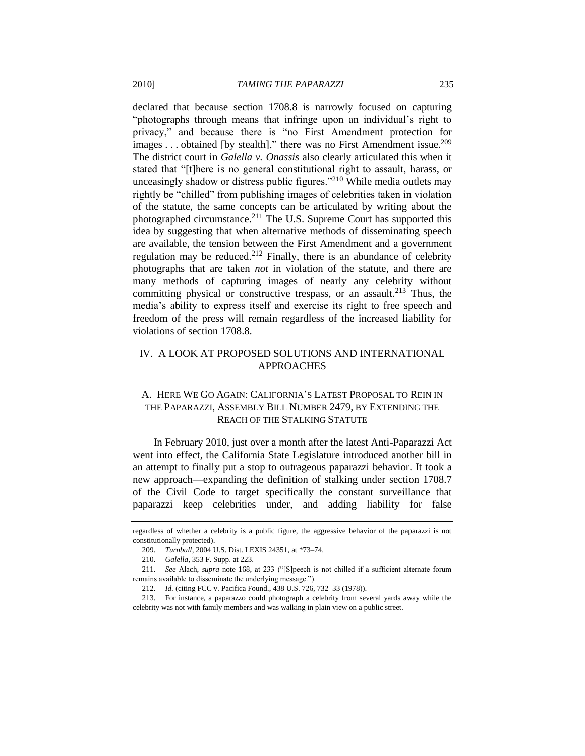declared that because section 1708.8 is narrowly focused on capturing "photographs through means that infringe upon an individual's right to privacy," and because there is "no First Amendment protection for images ... obtained [by stealth]," there was no First Amendment issue.<sup>209</sup> The district court in *Galella v. Onassis* also clearly articulated this when it stated that "[t]here is no general constitutional right to assault, harass, or unceasingly shadow or distress public figures."<sup>210</sup> While media outlets may rightly be "chilled" from publishing images of celebrities taken in violation of the statute, the same concepts can be articulated by writing about the photographed circumstance.<sup>211</sup> The U.S. Supreme Court has supported this idea by suggesting that when alternative methods of disseminating speech are available, the tension between the First Amendment and a government regulation may be reduced.<sup>212</sup> Finally, there is an abundance of celebrity photographs that are taken *not* in violation of the statute, and there are many methods of capturing images of nearly any celebrity without committing physical or constructive trespass, or an assault.<sup>213</sup> Thus, the media's ability to express itself and exercise its right to free speech and freedom of the press will remain regardless of the increased liability for violations of section 1708.8.

## <span id="page-34-0"></span>IV. A LOOK AT PROPOSED SOLUTIONS AND INTERNATIONAL APPROACHES

# <span id="page-34-1"></span>A. HERE WE GO AGAIN: CALIFORNIA'S LATEST PROPOSAL TO REIN IN THE PAPARAZZI, ASSEMBLY BILL NUMBER 2479, BY EXTENDING THE REACH OF THE STALKING STATUTE

In February 2010, just over a month after the latest Anti-Paparazzi Act went into effect, the California State Legislature introduced another bill in an attempt to finally put a stop to outrageous paparazzi behavior. It took a new approach—expanding the definition of stalking under section 1708.7 of the Civil Code to target specifically the constant surveillance that paparazzi keep celebrities under, and adding liability for false

regardless of whether a celebrity is a public figure, the aggressive behavior of the paparazzi is not constitutionally protected).

<sup>209.</sup> *Turnbull*, 2004 U.S. Dist. LEXIS 24351, at \*73–74.

<sup>210.</sup> *Galella*, 353 F. Supp. at 223.

<sup>211.</sup> *See Alach, supra note [168,](#page-27-2) at 233* ("[S]peech is not chilled if a sufficient alternate forum remains available to disseminate the underlying message.").

<sup>212</sup>*. Id.* (citing FCC v. Pacifica Found., 438 U.S. 726, 732–33 (1978)).

<sup>213.</sup> For instance, a paparazzo could photograph a celebrity from several yards away while the celebrity was not with family members and was walking in plain view on a public street.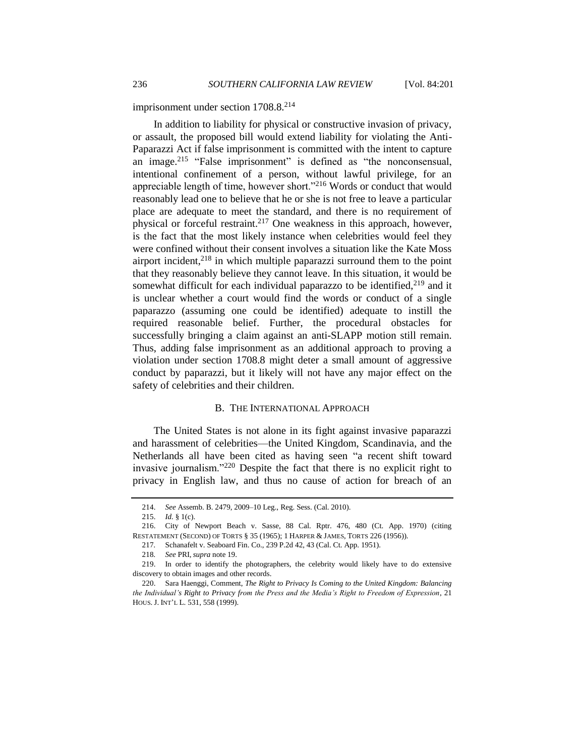imprisonment under section 1708.8.<sup>214</sup>

In addition to liability for physical or constructive invasion of privacy, or assault, the proposed bill would extend liability for violating the Anti-Paparazzi Act if false imprisonment is committed with the intent to capture an image.<sup>215</sup> "False imprisonment" is defined as "the nonconsensual, intentional confinement of a person, without lawful privilege, for an appreciable length of time, however short."<sup>216</sup> Words or conduct that would reasonably lead one to believe that he or she is not free to leave a particular place are adequate to meet the standard, and there is no requirement of physical or forceful restraint.<sup>217</sup> One weakness in this approach, however, is the fact that the most likely instance when celebrities would feel they were confined without their consent involves a situation like the Kate Moss airport incident, $2^{18}$  in which multiple paparazzi surround them to the point that they reasonably believe they cannot leave. In this situation, it would be somewhat difficult for each individual paparazzo to be identified, $2^{19}$  and it is unclear whether a court would find the words or conduct of a single paparazzo (assuming one could be identified) adequate to instill the required reasonable belief. Further, the procedural obstacles for successfully bringing a claim against an anti-SLAPP motion still remain. Thus, adding false imprisonment as an additional approach to proving a violation under section 1708.8 might deter a small amount of aggressive conduct by paparazzi, but it likely will not have any major effect on the safety of celebrities and their children.

#### <span id="page-35-1"></span>B. THE INTERNATIONAL APPROACH

<span id="page-35-0"></span>The United States is not alone in its fight against invasive paparazzi and harassment of celebrities—the United Kingdom, Scandinavia, and the Netherlands all have been cited as having seen "a recent shift toward invasive journalism." $220$  Despite the fact that there is no explicit right to privacy in English law, and thus no cause of action for breach of an

<sup>214.</sup> *See* Assemb. B. 2479, 2009–10 Leg., Reg. Sess. (Cal. 2010).

<sup>215.</sup> *Id.* § 1(c).

<sup>216.</sup> City of Newport Beach v. Sasse, 88 Cal. Rptr. 476, 480 (Ct. App. 1970) (citing RESTATEMENT (SECOND) OF TORTS § 35 (1965); 1 HARPER & JAMES, TORTS 226 (1956)).

<sup>217</sup>*.* Schanafelt v. Seaboard Fin. Co., 239 P.2d 42, 43 (Cal. Ct. App. 1951).

<sup>218</sup>*. See* PRI, *supra* not[e 19.](#page-4-0)

<sup>219.</sup> In order to identify the photographers, the celebrity would likely have to do extensive discovery to obtain images and other records.

<sup>220.</sup> Sara Haenggi, Comment, *The Right to Privacy Is Coming to the United Kingdom: Balancing the Individual's Right to Privacy from the Press and the Media's Right to Freedom of Expression*, 21 HOUS. J. INT'L L. 531, 558 (1999).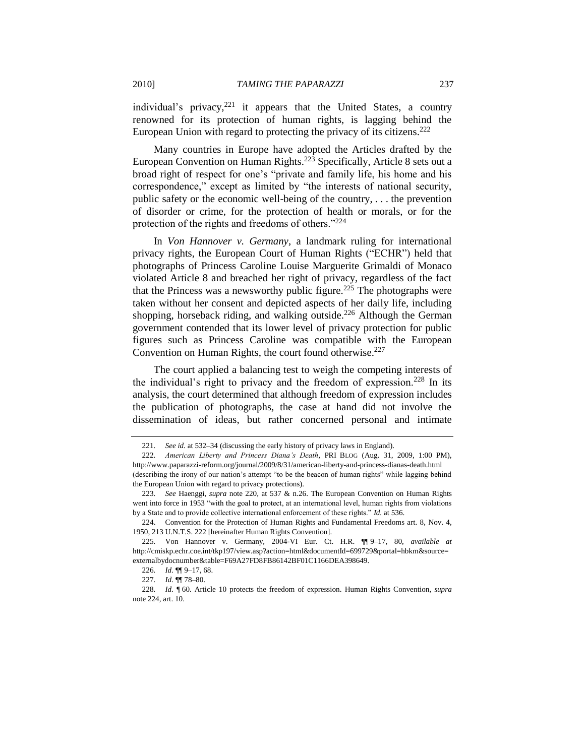individual's privacy,<sup>221</sup> it appears that the United States, a country renowned for its protection of human rights, is lagging behind the European Union with regard to protecting the privacy of its citizens. $222$ 

Many countries in Europe have adopted the Articles drafted by the European Convention on Human Rights.<sup>223</sup> Specifically, Article 8 sets out a broad right of respect for one's "private and family life, his home and his correspondence," except as limited by "the interests of national security, public safety or the economic well-being of the country, . . . the prevention of disorder or crime, for the protection of health or morals, or for the protection of the rights and freedoms of others." $224$ 

In *Von Hannover v. Germany*, a landmark ruling for international privacy rights, the European Court of Human Rights ("ECHR") held that photographs of Princess Caroline Louise Marguerite Grimaldi of Monaco violated Article 8 and breached her right of privacy, regardless of the fact that the Princess was a newsworthy public figure.<sup>225</sup> The photographs were taken without her consent and depicted aspects of her daily life, including shopping, horseback riding, and walking outside.<sup>226</sup> Although the German government contended that its lower level of privacy protection for public figures such as Princess Caroline was compatible with the European Convention on Human Rights, the court found otherwise. $227$ 

The court applied a balancing test to weigh the competing interests of the individual's right to privacy and the freedom of expression.<sup>228</sup> In its analysis, the court determined that although freedom of expression includes the publication of photographs, the case at hand did not involve the dissemination of ideas, but rather concerned personal and intimate

<span id="page-36-0"></span><sup>221</sup>*. See id.* at 532–34 (discussing the early history of privacy laws in England).

<sup>222</sup>*. American Liberty and Princess Diana's Death*, PRI BLOG (Aug. 31, 2009, 1:00 PM), http://www.paparazzi-reform.org/journal/2009/8/31/american-liberty-and-princess-dianas-death.html (describing the irony of our nation's attempt "to be the beacon of human rights" while lagging behind the European Union with regard to privacy protections).

<sup>223</sup>*. See* Haenggi, *supra* note [220,](#page-35-1) at 537 & n.26. The European Convention on Human Rights went into force in 1953 "with the goal to protect, at an international level, human rights from violations by a State and to provide collective international enforcement of these rights." *Id.* at 536.

<sup>224.</sup> Convention for the Protection of Human Rights and Fundamental Freedoms art. 8, Nov. 4, 1950, 213 U.N.T.S. 222 [hereinafter Human Rights Convention].

<sup>225</sup>*.* Von Hannover v. Germany, 2004-VI Eur. Ct. H.R. ¶¶ 9–17, 80, *available at*  http://cmiskp.echr.coe.int/tkp197/view.asp?action=html&documentId=699729&portal=hbkm&source= externalbydocnumber&table=F69A27FD8FB86142BF01C1166DEA398649.

<sup>226</sup>*. Id.* ¶¶ 9–17, 68.

<sup>227</sup>*. Id.* ¶¶ 78–80.

<sup>228</sup>*. Id.* ¶ 60. Article 10 protects the freedom of expression. Human Rights Convention, *supra* note 224, art. 10.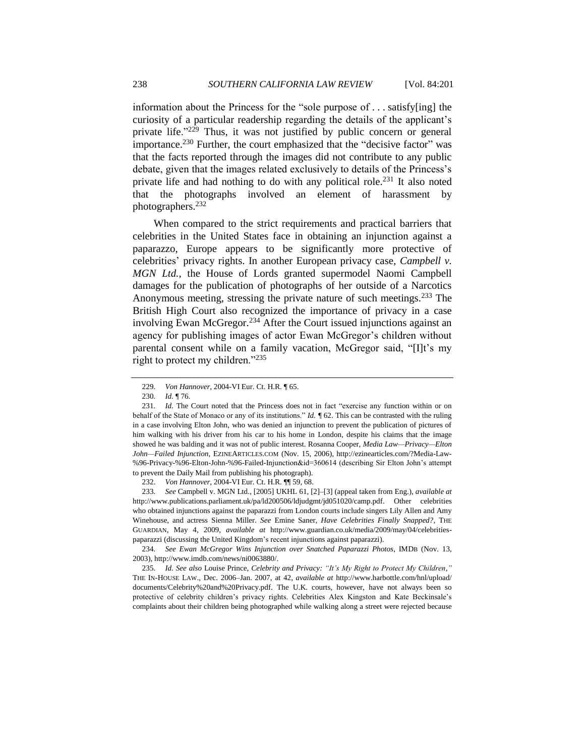information about the Princess for the "sole purpose of  $\dots$  satisfy [ing] the curiosity of a particular readership regarding the details of the applicant's private life." $2^{29}$  Thus, it was not justified by public concern or general importance.<sup>230</sup> Further, the court emphasized that the "decisive factor" was that the facts reported through the images did not contribute to any public debate, given that the images related exclusively to details of the Princess's private life and had nothing to do with any political role.<sup>231</sup> It also noted that the photographs involved an element of harassment by photographers.<sup>232</sup>

<span id="page-37-0"></span>When compared to the strict requirements and practical barriers that celebrities in the United States face in obtaining an injunction against a paparazzo, Europe appears to be significantly more protective of celebrities' privacy rights. In another European privacy case, *Campbell v. MGN Ltd.*, the House of Lords granted supermodel Naomi Campbell damages for the publication of photographs of her outside of a Narcotics Anonymous meeting, stressing the private nature of such meetings.<sup>233</sup> The British High Court also recognized the importance of privacy in a case involving Ewan McGregor.<sup>234</sup> After the Court issued injunctions against an agency for publishing images of actor Ewan McGregor's children without parental consent while on a family vacation, McGregor said, "[I]t's my right to protect my children." $^{235}$ 

232. *Von Hannover*, 2004-VI Eur. Ct. H.R. ¶¶ 59, 68.

233*. See* Campbell v. MGN Ltd., [2005] UKHL 61, [2]–[3] (appeal taken from Eng.), *available at* http://www.publications.parliament.uk/pa/ld200506/ldjudgmt/jd051020/camp.pdf. Other celebrities who obtained injunctions against the paparazzi from London courts include singers Lily Allen and Amy Winehouse, and actress Sienna Miller. *See* Emine Saner, *Have Celebrities Finally Snapped?*, THE GUARDIAN, May 4, 2009, *available at* http://www.guardian.co.uk/media/2009/may/04/celebritiespaparazzi (discussing the United Kingdom's recent injunctions against paparazzi).

234*. See Ewan McGregor Wins Injunction over Snatched Paparazzi Photos*, IMDB (Nov. 13, 2003), http://www.imdb.com/news/ni0063880/.

235. *Id. See also Louise Prince, Celebrity and Privacy: "It's My Right to Protect My Children,"* THE IN-HOUSE LAW., Dec. 2006–Jan. 2007, at 42, *available at* http://www.harbottle.com/hnl/upload/ documents/Celebrity%20and%20Privacy.pdf. The U.K. courts, however, have not always been so protective of celebrity children's privacy rights. Celebrities Alex Kingston and Kate Beckinsale's complaints about their children being photographed while walking along a street were rejected because

<sup>229</sup>*. Von Hannover*, 2004-VI Eur. Ct. H.R. ¶ 65.

<sup>230</sup>*. Id.* ¶ 76.

<sup>231.</sup> *Id.* The Court noted that the Princess does not in fact "exercise any function within or on behalf of the State of Monaco or any of its institutions.<sup>"</sup> *Id. f* 62. This can be contrasted with the ruling in a case involving Elton John, who was denied an injunction to prevent the publication of pictures of him walking with his driver from his car to his home in London, despite his claims that the image showed he was balding and it was not of public interest. Rosanna Cooper, *Media Law—Privacy—Elton John—Failed Injunction*, EZINEARTICLES.COM (Nov. 15, 2006), http://ezinearticles.com/?Media-Law- %96-Privacy-%96-Elton-John-%96-Failed-Injunction&id=360614 (describing Sir Elton John's attempt to prevent the Daily Mail from publishing his photograph).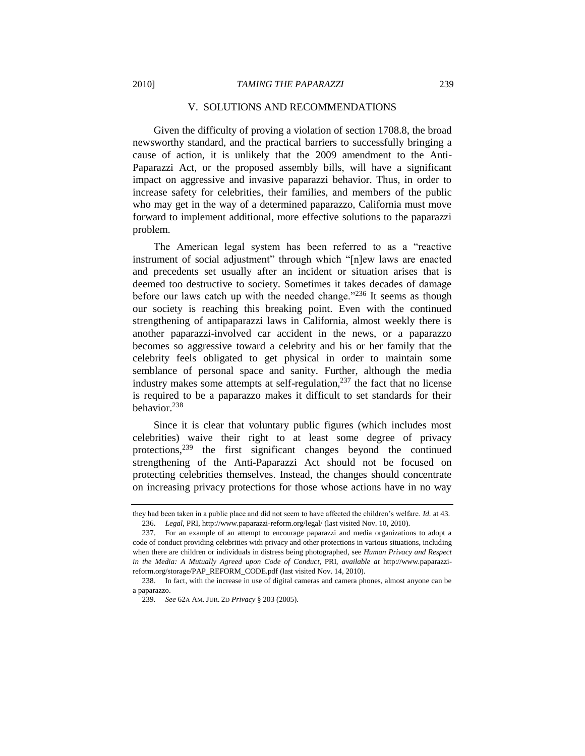#### V. SOLUTIONS AND RECOMMENDATIONS

<span id="page-38-0"></span>Given the difficulty of proving a violation of section 1708.8, the broad newsworthy standard, and the practical barriers to successfully bringing a cause of action, it is unlikely that the 2009 amendment to the Anti-Paparazzi Act, or the proposed assembly bills, will have a significant impact on aggressive and invasive paparazzi behavior. Thus, in order to increase safety for celebrities, their families, and members of the public who may get in the way of a determined paparazzo, California must move forward to implement additional, more effective solutions to the paparazzi problem.

<span id="page-38-1"></span>The American legal system has been referred to as a "reactive" instrument of social adjustment" through which "[n]ew laws are enacted and precedents set usually after an incident or situation arises that is deemed too destructive to society. Sometimes it takes decades of damage before our laws catch up with the needed change.<sup> $236$ </sup> It seems as though our society is reaching this breaking point. Even with the continued strengthening of antipaparazzi laws in California, almost weekly there is another paparazzi-involved car accident in the news, or a paparazzo becomes so aggressive toward a celebrity and his or her family that the celebrity feels obligated to get physical in order to maintain some semblance of personal space and sanity. Further, although the media industry makes some attempts at self-regulation, $237$  the fact that no license is required to be a paparazzo makes it difficult to set standards for their behavior.<sup>238</sup>

Since it is clear that voluntary public figures (which includes most celebrities) waive their right to at least some degree of privacy protections, $239$  the first significant changes beyond the continued strengthening of the Anti-Paparazzi Act should not be focused on protecting celebrities themselves. Instead, the changes should concentrate on increasing privacy protections for those whose actions have in no way

they had been taken in a public place and did not seem to have affected the children's welfare. *Id.* at 43. 236. *Legal*, PRI, http://www.paparazzi-reform.org/legal/ (last visited Nov. 10, 2010).

<sup>237.</sup> For an example of an attempt to encourage paparazzi and media organizations to adopt a code of conduct providing celebrities with privacy and other protections in various situations, including when there are children or individuals in distress being photographed, see *Human Privacy and Respect in the Media: A Mutually Agreed upon Code of Conduct*, PRI, *available at* http://www.paparazzireform.org/storage/PAP\_REFORM\_CODE.pdf (last visited Nov. 14, 2010).

<sup>238.</sup> In fact, with the increase in use of digital cameras and camera phones, almost anyone can be a paparazzo.

<sup>239</sup>*. See* 62A AM. JUR. 2D *Privacy* § 203 (2005).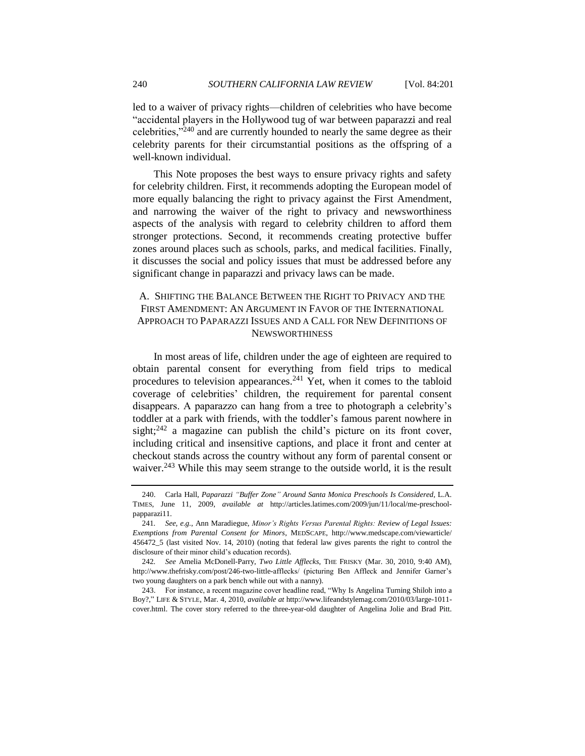<span id="page-39-1"></span>led to a waiver of privacy rights—children of celebrities who have become "accidental players in the Hollywood tug of war between paparazzi and real celebrities, $v^{240}$  and are currently hounded to nearly the same degree as their celebrity parents for their circumstantial positions as the offspring of a well-known individual.

This Note proposes the best ways to ensure privacy rights and safety for celebrity children. First, it recommends adopting the European model of more equally balancing the right to privacy against the First Amendment, and narrowing the waiver of the right to privacy and newsworthiness aspects of the analysis with regard to celebrity children to afford them stronger protections. Second, it recommends creating protective buffer zones around places such as schools, parks, and medical facilities. Finally, it discusses the social and policy issues that must be addressed before any significant change in paparazzi and privacy laws can be made.

## <span id="page-39-0"></span>A. SHIFTING THE BALANCE BETWEEN THE RIGHT TO PRIVACY AND THE FIRST AMENDMENT: AN ARGUMENT IN FAVOR OF THE INTERNATIONAL APPROACH TO PAPARAZZI ISSUES AND A CALL FOR NEW DEFINITIONS OF **NEWSWORTHINESS**

In most areas of life, children under the age of eighteen are required to obtain parental consent for everything from field trips to medical procedures to television appearances.<sup>241</sup> Yet, when it comes to the tabloid coverage of celebrities' children, the requirement for parental consent disappears. A paparazzo can hang from a tree to photograph a celebrity's toddler at a park with friends, with the toddler's famous parent nowhere in sight;<sup>242</sup> a magazine can publish the child's picture on its front cover, including critical and insensitive captions, and place it front and center at checkout stands across the country without any form of parental consent or waiver.<sup>243</sup> While this may seem strange to the outside world, it is the result

<sup>240.</sup> Carla Hall, *Paparazzi ―Buffer Zone‖ Around Santa Monica Preschools Is Considered*, L.A. TIMES, June 11, 2009, *available at* http://articles.latimes.com/2009/jun/11/local/me-preschoolpapparazi11.

<sup>241</sup>*. See, e.g.*, Ann Maradiegue, *Minor's Rights Versus Parental Rights: Review of Legal Issues: Exemptions from Parental Consent for Minors*, MEDSCAPE, http://www.medscape.com/viewarticle/ 456472\_5 (last visited Nov. 14, 2010) (noting that federal law gives parents the right to control the disclosure of their minor child's education records).

<sup>242</sup>*. See* Amelia McDonell-Parry, *Two Little Afflecks*, THE FRISKY (Mar. 30, 2010, 9:40 AM), http://www.thefrisky.com/post/246-two-little-afflecks/ (picturing Ben Affleck and Jennifer Garner's two young daughters on a park bench while out with a nanny).

<sup>243.</sup> For instance, a recent magazine cover headline read, "Why Is Angelina Turning Shiloh into a Boy?,‖ LIFE & STYLE, Mar. 4, 2010, *available at* http://www.lifeandstylemag.com/2010/03/large-1011 cover.html. The cover story referred to the three-year-old daughter of Angelina Jolie and Brad Pitt.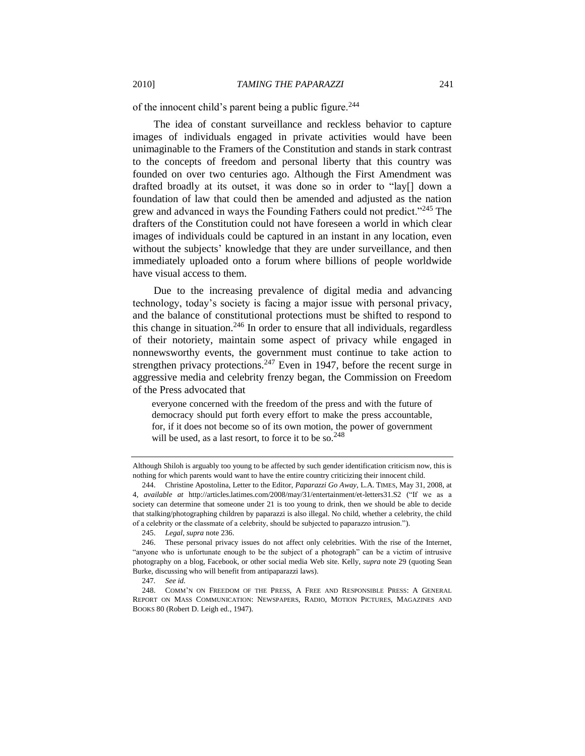of the innocent child's parent being a public figure.<sup>244</sup>

The idea of constant surveillance and reckless behavior to capture images of individuals engaged in private activities would have been unimaginable to the Framers of the Constitution and stands in stark contrast to the concepts of freedom and personal liberty that this country was founded on over two centuries ago. Although the First Amendment was drafted broadly at its outset, it was done so in order to "lay[] down a foundation of law that could then be amended and adjusted as the nation grew and advanced in ways the Founding Fathers could not predict.<sup>245</sup> The drafters of the Constitution could not have foreseen a world in which clear images of individuals could be captured in an instant in any location, even without the subjects' knowledge that they are under surveillance, and then immediately uploaded onto a forum where billions of people worldwide have visual access to them.

Due to the increasing prevalence of digital media and advancing technology, today's society is facing a major issue with personal privacy, and the balance of constitutional protections must be shifted to respond to this change in situation.<sup>246</sup> In order to ensure that all individuals, regardless of their notoriety, maintain some aspect of privacy while engaged in nonnewsworthy events, the government must continue to take action to strengthen privacy protections.<sup>247</sup> Even in 1947, before the recent surge in aggressive media and celebrity frenzy began, the Commission on Freedom of the Press advocated that

everyone concerned with the freedom of the press and with the future of democracy should put forth every effort to make the press accountable, for, if it does not become so of its own motion, the power of government will be used, as a last resort, to force it to be so.<sup>248</sup>

245. *Legal*, *supra* not[e 236.](#page-38-1)

247*. See id.*

Although Shiloh is arguably too young to be affected by such gender identification criticism now, this is nothing for which parents would want to have the entire country criticizing their innocent child.

<sup>244.</sup> Christine Apostolina, Letter to the Editor, *Paparazzi Go Away*, L.A. TIMES, May 31, 2008, at 4, *available at http://articles.latimes.com/2008/may/31/entertainment/et-letters31.S2* ("If we as a society can determine that someone under 21 is too young to drink, then we should be able to decide that stalking/photographing children by paparazzi is also illegal. No child, whether a celebrity, the child of a celebrity or the classmate of a celebrity, should be subjected to paparazzo intrusion.").

<sup>246.</sup> These personal privacy issues do not affect only celebrities. With the rise of the Internet, "anyone who is unfortunate enough to be the subject of a photograph" can be a victim of intrusive photography on a blog, Facebook, or other social media Web site. Kelly, *supra* note [29](#page-6-1) (quoting Sean Burke, discussing who will benefit from antipaparazzi laws).

<sup>248.</sup> COMM'N ON FREEDOM OF THE PRESS, A FREE AND RESPONSIBLE PRESS: A GENERAL REPORT ON MASS COMMUNICATION: NEWSPAPERS, RADIO, MOTION PICTURES, MAGAZINES AND BOOKS 80 (Robert D. Leigh ed., 1947).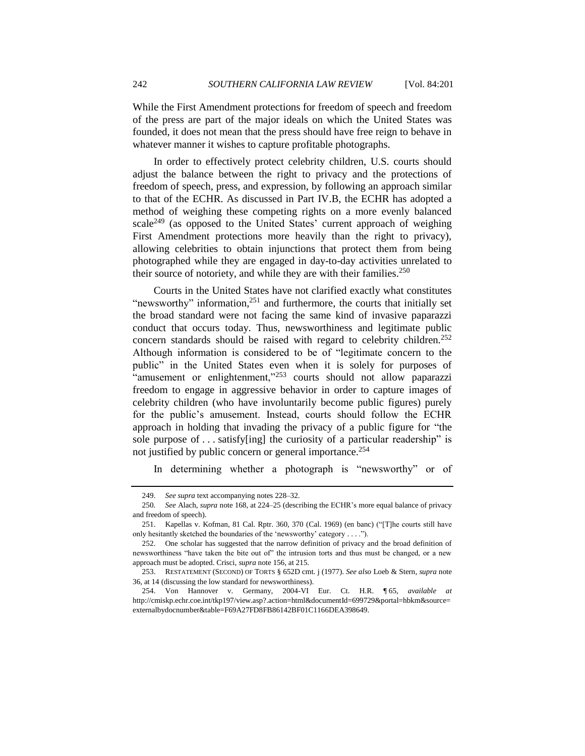While the First Amendment protections for freedom of speech and freedom of the press are part of the major ideals on which the United States was founded, it does not mean that the press should have free reign to behave in whatever manner it wishes to capture profitable photographs.

In order to effectively protect celebrity children, U.S. courts should adjust the balance between the right to privacy and the protections of freedom of speech, press, and expression, by following an approach similar to that of the ECHR. As discussed in Part IV.B, the ECHR has adopted a method of weighing these competing rights on a more evenly balanced scale<sup>249</sup> (as opposed to the United States' current approach of weighing First Amendment protections more heavily than the right to privacy), allowing celebrities to obtain injunctions that protect them from being photographed while they are engaged in day-to-day activities unrelated to their source of notoriety, and while they are with their families.<sup>250</sup>

<span id="page-41-0"></span>Courts in the United States have not clarified exactly what constitutes "newsworthy" information, $251$  and furthermore, the courts that initially set the broad standard were not facing the same kind of invasive paparazzi conduct that occurs today. Thus, newsworthiness and legitimate public concern standards should be raised with regard to celebrity children.<sup>252</sup> Although information is considered to be of "legitimate concern to the public" in the United States even when it is solely for purposes of "amusement or enlightenment,"<sup>253</sup> courts should not allow paparazzi freedom to engage in aggressive behavior in order to capture images of celebrity children (who have involuntarily become public figures) purely for the public's amusement. Instead, courts should follow the ECHR approach in holding that invading the privacy of a public figure for "the sole purpose of  $\dots$  satisfy[ing] the curiosity of a particular readership" is not justified by public concern or general importance.<sup>254</sup>

In determining whether a photograph is "newsworthy" or of

<sup>249.</sup> *See supra* text accompanying notes [228–](#page-36-0)[32.](#page-37-0)

<sup>250</sup>*. See* Alach, *supra* note [168,](#page-27-2) at 224–25 (describing the ECHR's more equal balance of privacy and freedom of speech).

<sup>251.</sup> Kapellas v. Kofman, 81 Cal. Rptr. 360, 370 (Cal. 1969) (en banc) ("[T]he courts still have only hesitantly sketched the boundaries of the 'newsworthy' category  $\dots$ .").

<sup>252.</sup> One scholar has suggested that the narrow definition of privacy and the broad definition of newsworthiness "have taken the bite out of" the intrusion torts and thus must be changed, or a new approach must be adopted. Crisci, *supra* not[e 156,](#page-25-0) at 215.

<sup>253.</sup> RESTATEMENT (SECOND) OF TORTS § 652D cmt. j (1977). *See also* Loeb & Stern, *supra* note [36,](#page-6-0) at 14 (discussing the low standard for newsworthiness).

<sup>254.</sup> Von Hannover v. Germany, 2004-VI Eur. Ct. H.R. ¶ 65, *available at* http://cmiskp.echr.coe.int/tkp197/view.asp?.action=html&documentId=699729&portal=hbkm&source= externalbydocnumber&table=F69A27FD8FB86142BF01C1166DEA398649.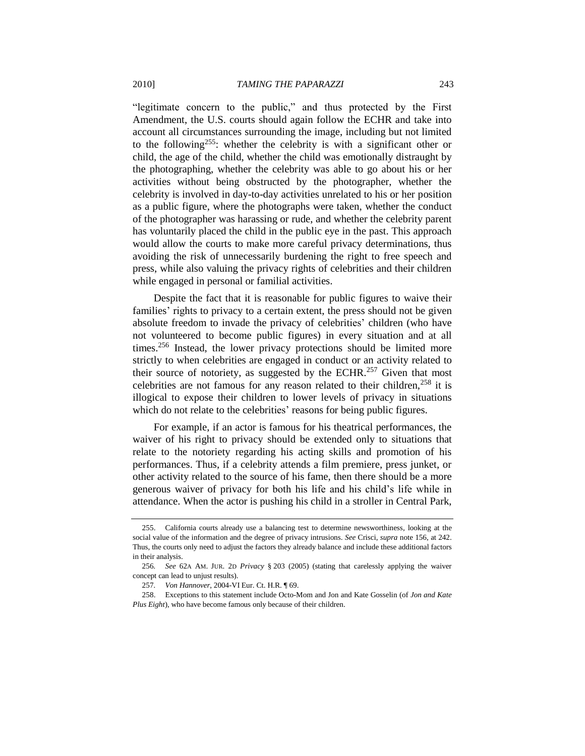"legitimate concern to the public," and thus protected by the First Amendment, the U.S. courts should again follow the ECHR and take into account all circumstances surrounding the image, including but not limited to the following<sup>255</sup>: whether the celebrity is with a significant other or child, the age of the child, whether the child was emotionally distraught by the photographing, whether the celebrity was able to go about his or her activities without being obstructed by the photographer, whether the celebrity is involved in day-to-day activities unrelated to his or her position as a public figure, where the photographs were taken, whether the conduct of the photographer was harassing or rude, and whether the celebrity parent has voluntarily placed the child in the public eye in the past. This approach would allow the courts to make more careful privacy determinations, thus avoiding the risk of unnecessarily burdening the right to free speech and press, while also valuing the privacy rights of celebrities and their children while engaged in personal or familial activities.

<span id="page-42-1"></span>Despite the fact that it is reasonable for public figures to waive their families' rights to privacy to a certain extent, the press should not be given absolute freedom to invade the privacy of celebrities' children (who have not volunteered to become public figures) in every situation and at all times.<sup>256</sup> Instead, the lower privacy protections should be limited more strictly to when celebrities are engaged in conduct or an activity related to their source of notoriety, as suggested by the ECHR.<sup>257</sup> Given that most celebrities are not famous for any reason related to their children.<sup>258</sup> it is illogical to expose their children to lower levels of privacy in situations which do not relate to the celebrities' reasons for being public figures.

<span id="page-42-0"></span>For example, if an actor is famous for his theatrical performances, the waiver of his right to privacy should be extended only to situations that relate to the notoriety regarding his acting skills and promotion of his performances. Thus, if a celebrity attends a film premiere, press junket, or other activity related to the source of his fame, then there should be a more generous waiver of privacy for both his life and his child's life while in attendance. When the actor is pushing his child in a stroller in Central Park,

<sup>255.</sup> California courts already use a balancing test to determine newsworthiness, looking at the social value of the information and the degree of privacy intrusions. *See* Crisci, *supra* not[e 156,](#page-25-0) at 242. Thus, the courts only need to adjust the factors they already balance and include these additional factors in their analysis.

<sup>256</sup>*. See* 62A AM. JUR. 2D *Privacy* § 203 (2005) (stating that carelessly applying the waiver concept can lead to unjust results).

<sup>257</sup>*. Von Hannover*, 2004-VI Eur. Ct. H.R. ¶ 69.

<sup>258.</sup> Exceptions to this statement include Octo-Mom and Jon and Kate Gosselin (of *Jon and Kate Plus Eight*), who have become famous only because of their children.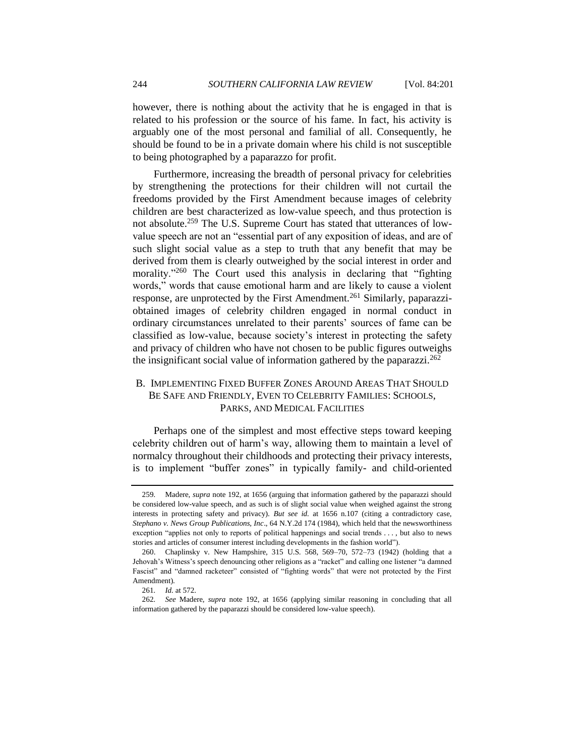however, there is nothing about the activity that he is engaged in that is related to his profession or the source of his fame. In fact, his activity is arguably one of the most personal and familial of all. Consequently, he should be found to be in a private domain where his child is not susceptible to being photographed by a paparazzo for profit.

Furthermore, increasing the breadth of personal privacy for celebrities by strengthening the protections for their children will not curtail the freedoms provided by the First Amendment because images of celebrity children are best characterized as low-value speech, and thus protection is not absolute.<sup>259</sup> The U.S. Supreme Court has stated that utterances of lowvalue speech are not an "essential part of any exposition of ideas, and are of such slight social value as a step to truth that any benefit that may be derived from them is clearly outweighed by the social interest in order and morality."<sup>260</sup> The Court used this analysis in declaring that "fighting words," words that cause emotional harm and are likely to cause a violent response, are unprotected by the First Amendment.<sup>261</sup> Similarly, paparazziobtained images of celebrity children engaged in normal conduct in ordinary circumstances unrelated to their parents' sources of fame can be classified as low-value, because society's interest in protecting the safety and privacy of children who have not chosen to be public figures outweighs the insignificant social value of information gathered by the paparazzi.<sup>262</sup>

# <span id="page-43-0"></span>B. IMPLEMENTING FIXED BUFFER ZONES AROUND AREAS THAT SHOULD BE SAFE AND FRIENDLY, EVEN TO CELEBRITY FAMILIES: SCHOOLS, PARKS, AND MEDICAL FACILITIES

Perhaps one of the simplest and most effective steps toward keeping celebrity children out of harm's way, allowing them to maintain a level of normalcy throughout their childhoods and protecting their privacy interests, is to implement "buffer zones" in typically family- and child-oriented

<sup>259</sup>*.* Madere, *supra* note [192,](#page-31-0) at 1656 (arguing that information gathered by the paparazzi should be considered low-value speech, and as such is of slight social value when weighed against the strong interests in protecting safety and privacy). *But see id.* at 1656 n.107 (citing a contradictory case, *Stephano v. News Group Publications, Inc*., 64 N.Y.2d 174 (1984), which held that the newsworthiness exception "applies not only to reports of political happenings and social trends . . . , but also to news stories and articles of consumer interest including developments in the fashion world").

<sup>260.</sup> Chaplinsky v. New Hampshire, 315 U.S. 568, 569–70, 572–73 (1942) (holding that a Jehovah's Witness's speech denouncing other religions as a "racket" and calling one listener "a damned Fascist" and "damned racketeer" consisted of "fighting words" that were not protected by the First Amendment).

<sup>261</sup>*. Id.* at 572.

<sup>262</sup>*. See* Madere, *supra* note [192,](#page-31-0) at 1656 (applying similar reasoning in concluding that all information gathered by the paparazzi should be considered low-value speech).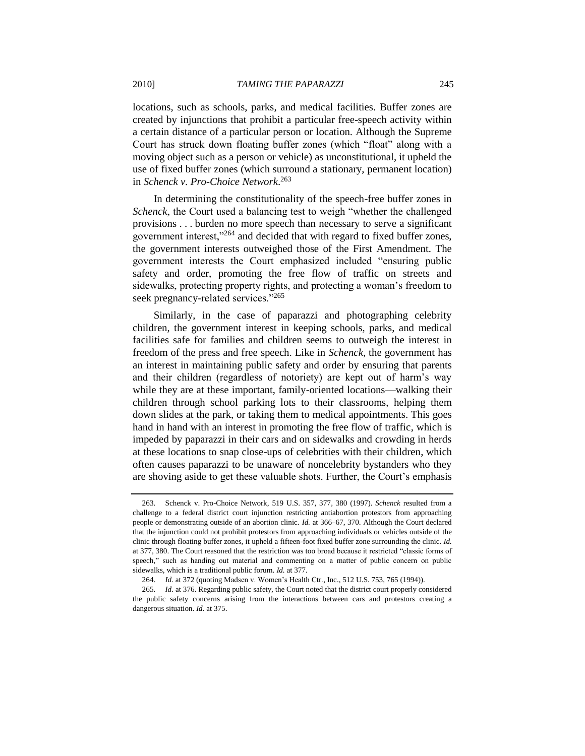locations, such as schools, parks, and medical facilities. Buffer zones are created by injunctions that prohibit a particular free-speech activity within a certain distance of a particular person or location. Although the Supreme Court has struck down floating buffer zones (which "float" along with a moving object such as a person or vehicle) as unconstitutional, it upheld the use of fixed buffer zones (which surround a stationary, permanent location) in *Schenck v. Pro-Choice Network*. 263

In determining the constitutionality of the speech-free buffer zones in *Schenck*, the Court used a balancing test to weigh "whether the challenged provisions . . . burden no more speech than necessary to serve a significant government interest,"<sup>264</sup> and decided that with regard to fixed buffer zones, the government interests outweighed those of the First Amendment. The government interests the Court emphasized included "ensuring public safety and order, promoting the free flow of traffic on streets and sidewalks, protecting property rights, and protecting a woman's freedom to seek pregnancy-related services."265

Similarly, in the case of paparazzi and photographing celebrity children, the government interest in keeping schools, parks, and medical facilities safe for families and children seems to outweigh the interest in freedom of the press and free speech. Like in *Schenck*, the government has an interest in maintaining public safety and order by ensuring that parents and their children (regardless of notoriety) are kept out of harm's way while they are at these important, family-oriented locations—walking their children through school parking lots to their classrooms, helping them down slides at the park, or taking them to medical appointments. This goes hand in hand with an interest in promoting the free flow of traffic, which is impeded by paparazzi in their cars and on sidewalks and crowding in herds at these locations to snap close-ups of celebrities with their children, which often causes paparazzi to be unaware of noncelebrity bystanders who they are shoving aside to get these valuable shots. Further, the Court's emphasis

<sup>263</sup>*.* Schenck v. Pro-Choice Network, 519 U.S. 357, 377, 380 (1997). *Schenck* resulted from a challenge to a federal district court injunction restricting antiabortion protestors from approaching people or demonstrating outside of an abortion clinic. *Id.* at 366–67, 370. Although the Court declared that the injunction could not prohibit protestors from approaching individuals or vehicles outside of the clinic through floating buffer zones, it upheld a fifteen-foot fixed buffer zone surrounding the clinic. *Id.* at 377, 380. The Court reasoned that the restriction was too broad because it restricted "classic forms of speech," such as handing out material and commenting on a matter of public concern on public sidewalks, which is a traditional public forum. *Id.* at 377.

<sup>264.</sup> *Id.* at 372 (quoting Madsen v. Women's Health Ctr., Inc., 512 U.S. 753, 765 (1994)).

<sup>265</sup>*. Id.* at 376. Regarding public safety, the Court noted that the district court properly considered the public safety concerns arising from the interactions between cars and protestors creating a dangerous situation. *Id.* at 375.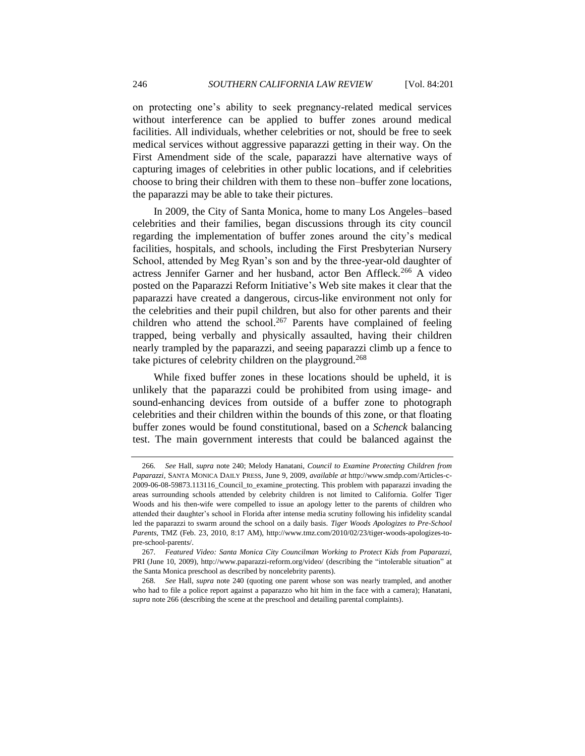<span id="page-45-0"></span>

on protecting one's ability to seek pregnancy-related medical services without interference can be applied to buffer zones around medical facilities. All individuals, whether celebrities or not, should be free to seek medical services without aggressive paparazzi getting in their way. On the First Amendment side of the scale, paparazzi have alternative ways of capturing images of celebrities in other public locations, and if celebrities choose to bring their children with them to these non–buffer zone locations, the paparazzi may be able to take their pictures.

In 2009, the City of Santa Monica, home to many Los Angeles–based celebrities and their families, began discussions through its city council regarding the implementation of buffer zones around the city's medical facilities, hospitals, and schools, including the First Presbyterian Nursery School, attended by Meg Ryan's son and by the three-year-old daughter of actress Jennifer Garner and her husband, actor Ben Affleck.<sup>266</sup> A video posted on the Paparazzi Reform Initiative's Web site makes it clear that the paparazzi have created a dangerous, circus-like environment not only for the celebrities and their pupil children, but also for other parents and their children who attend the school.<sup>267</sup> Parents have complained of feeling trapped, being verbally and physically assaulted, having their children nearly trampled by the paparazzi, and seeing paparazzi climb up a fence to take pictures of celebrity children on the playground.<sup>268</sup>

While fixed buffer zones in these locations should be upheld, it is unlikely that the paparazzi could be prohibited from using image- and sound-enhancing devices from outside of a buffer zone to photograph celebrities and their children within the bounds of this zone, or that floating buffer zones would be found constitutional, based on a *Schenck* balancing test. The main government interests that could be balanced against the

<sup>266</sup>*. See* Hall, *supra* note [240;](#page-39-1) Melody Hanatani, *Council to Examine Protecting Children from Paparazzi*, SANTA MONICA DAILY PRESS, June 9, 2009, *available at* http://www.smdp.com/Articles-c-2009-06-08-59873.113116\_Council\_to\_examine\_protecting. This problem with paparazzi invading the areas surrounding schools attended by celebrity children is not limited to California. Golfer Tiger Woods and his then-wife were compelled to issue an apology letter to the parents of children who attended their daughter's school in Florida after intense media scrutiny following his infidelity scandal led the paparazzi to swarm around the school on a daily basis. *Tiger Woods Apologizes to Pre-School Parents*, TMZ (Feb. 23, 2010, 8:17 AM), http://www.tmz.com/2010/02/23/tiger-woods-apologizes-topre-school-parents/.

<sup>267</sup>*. Featured Video: Santa Monica City Councilman Working to Protect Kids from Paparazzi*, PRI (June 10, 2009), http://www.paparazzi-reform.org/video/ (describing the "intolerable situation" at the Santa Monica preschool as described by noncelebrity parents).

<sup>268</sup>*. See* Hall, *supra* note [240](#page-39-1) (quoting one parent whose son was nearly trampled, and another who had to file a police report against a paparazzo who hit him in the face with a camera); Hanatani, *supra* not[e 266](#page-45-0) (describing the scene at the preschool and detailing parental complaints).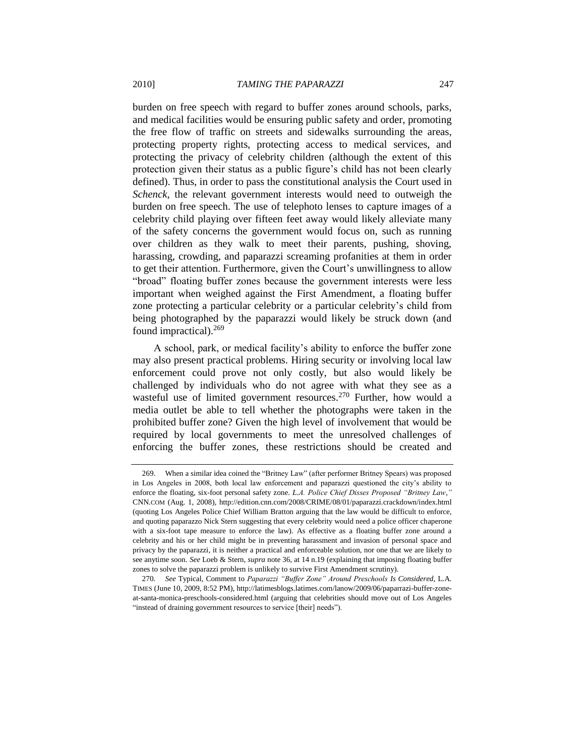burden on free speech with regard to buffer zones around schools, parks, and medical facilities would be ensuring public safety and order, promoting the free flow of traffic on streets and sidewalks surrounding the areas, protecting property rights, protecting access to medical services, and protecting the privacy of celebrity children (although the extent of this protection given their status as a public figure's child has not been clearly defined). Thus, in order to pass the constitutional analysis the Court used in *Schenck*, the relevant government interests would need to outweigh the burden on free speech. The use of telephoto lenses to capture images of a celebrity child playing over fifteen feet away would likely alleviate many of the safety concerns the government would focus on, such as running over children as they walk to meet their parents, pushing, shoving, harassing, crowding, and paparazzi screaming profanities at them in order to get their attention. Furthermore, given the Court's unwillingness to allow "broad" floating buffer zones because the government interests were less important when weighed against the First Amendment, a floating buffer zone protecting a particular celebrity or a particular celebrity's child from being photographed by the paparazzi would likely be struck down (and found impractical).<sup>269</sup>

A school, park, or medical facility's ability to enforce the buffer zone may also present practical problems. Hiring security or involving local law enforcement could prove not only costly, but also would likely be challenged by individuals who do not agree with what they see as a wasteful use of limited government resources.<sup>270</sup> Further, how would a media outlet be able to tell whether the photographs were taken in the prohibited buffer zone? Given the high level of involvement that would be required by local governments to meet the unresolved challenges of enforcing the buffer zones, these restrictions should be created and

<sup>269.</sup> When a similar idea coined the "Britney Law" (after performer Britney Spears) was proposed in Los Angeles in 2008, both local law enforcement and paparazzi questioned the city's ability to enforce the floating, six-foot personal safety zone. *L.A. Police Chief Disses Proposed "Britney Law*," CNN.COM (Aug. 1, 2008), http://edition.cnn.com/2008/CRIME/08/01/paparazzi.crackdown/index.html (quoting Los Angeles Police Chief William Bratton arguing that the law would be difficult to enforce, and quoting paparazzo Nick Stern suggesting that every celebrity would need a police officer chaperone with a six-foot tape measure to enforce the law). As effective as a floating buffer zone around a celebrity and his or her child might be in preventing harassment and invasion of personal space and privacy by the paparazzi, it is neither a practical and enforceable solution, nor one that we are likely to see anytime soon. *See* Loeb & Stern, *supra* not[e 36,](#page-6-0) at 14 n.19 (explaining that imposing floating buffer zones to solve the paparazzi problem is unlikely to survive First Amendment scrutiny).

<sup>270.</sup> See Typical, Comment to Paparazzi "Buffer Zone" Around Preschools Is Considered, L.A. TIMES (June 10, 2009, 8:52 PM), http://latimesblogs.latimes.com/lanow/2009/06/paparrazi-buffer-zoneat-santa-monica-preschools-considered.html (arguing that celebrities should move out of Los Angeles "instead of draining government resources to service [their] needs").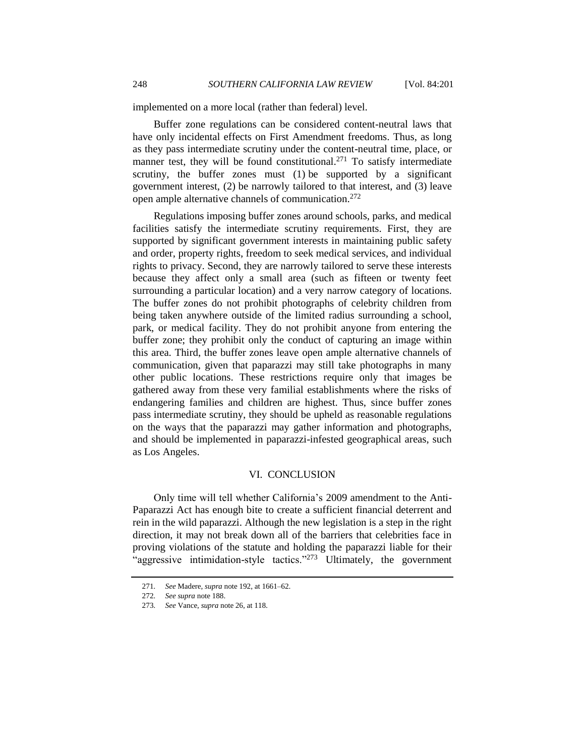implemented on a more local (rather than federal) level.

Buffer zone regulations can be considered content-neutral laws that have only incidental effects on First Amendment freedoms. Thus, as long as they pass intermediate scrutiny under the content-neutral time, place, or manner test, they will be found constitutional.<sup>271</sup> To satisfy intermediate scrutiny, the buffer zones must  $(1)$  be supported by a significant government interest, (2) be narrowly tailored to that interest, and (3) leave open ample alternative channels of communication.<sup>272</sup>

Regulations imposing buffer zones around schools, parks, and medical facilities satisfy the intermediate scrutiny requirements. First, they are supported by significant government interests in maintaining public safety and order, property rights, freedom to seek medical services, and individual rights to privacy. Second, they are narrowly tailored to serve these interests because they affect only a small area (such as fifteen or twenty feet surrounding a particular location) and a very narrow category of locations. The buffer zones do not prohibit photographs of celebrity children from being taken anywhere outside of the limited radius surrounding a school, park, or medical facility. They do not prohibit anyone from entering the buffer zone; they prohibit only the conduct of capturing an image within this area. Third, the buffer zones leave open ample alternative channels of communication, given that paparazzi may still take photographs in many other public locations. These restrictions require only that images be gathered away from these very familial establishments where the risks of endangering families and children are highest. Thus, since buffer zones pass intermediate scrutiny, they should be upheld as reasonable regulations on the ways that the paparazzi may gather information and photographs, and should be implemented in paparazzi-infested geographical areas, such as Los Angeles.

#### VI. CONCLUSION

<span id="page-47-0"></span>Only time will tell whether California's 2009 amendment to the Anti-Paparazzi Act has enough bite to create a sufficient financial deterrent and rein in the wild paparazzi. Although the new legislation is a step in the right direction, it may not break down all of the barriers that celebrities face in proving violations of the statute and holding the paparazzi liable for their "aggressive intimidation-style tactics."<sup>273</sup> Ultimately, the government

<sup>271</sup>*. See* Madere, *supra* not[e 192,](#page-31-0) at 1661–62.

<sup>272</sup>*. See supra* not[e 188.](#page-30-0)

<sup>273</sup>*. See* Vance, *supra* not[e 26,](#page-5-1) at 118.